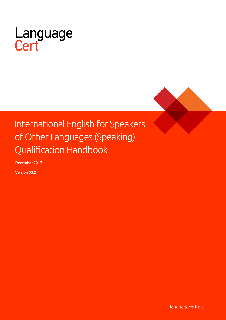

# International English for Speakers of Other Languages (Speaking) **Qualification Handbook**

December 2017

Version 03.2

languagecert.org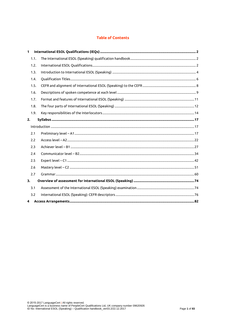# **Table of Contents**

| 1    |  |
|------|--|
| 1.1. |  |
| 1.2. |  |
| 1.3. |  |
| 1.4. |  |
| 1.5. |  |
| 1.6. |  |
| 1.7. |  |
| 1.8. |  |
| 1.9. |  |
| 2.   |  |
|      |  |
| 2.1  |  |
| 2.2  |  |
| 2.3  |  |
| 2.4  |  |
| 2.5  |  |
| 2.6  |  |
| 2.7  |  |
| 3.   |  |
| 3.1  |  |
| 3.2  |  |
| 4    |  |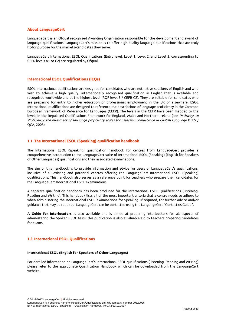# **About LanguageCert**

LanguageCert is an Ofqual recognised Awarding Organisation responsible for the development and award of language qualifications. LanguageCert's mission is to offer high quality language qualifications that are truly fit-for purpose for the markets/candidates they serve.

LanguageCert International ESOL Qualifications (Entry level, Level 1, Level 2, and Level 3, corresponding to CEFR levels A1 to C2) are regulated by Ofqual.

# <span id="page-2-0"></span>**International ESOL Qualifications (IEQs)**

ESOL International qualifications are designed for candidates who are not native speakers of English and who wish to achieve a high quality, internationally recognised qualification in English that is available and recognised worldwide and at the highest level (RQF level 3 / CEFR C2). They are suitable for candidates who are preparing for entry to higher education or professional employment in the UK or elsewhere. ESOL International qualifications are designed to reference the descriptions of language proficiency in the Common European Framework of Reference for Languages (CEFR). The levels in the CEFR have been mapped to the levels in the Regulated Qualifications Framework for England, Wales and Northern Ireland (see *Pathways to Proficiency: the alignment of language proficiency scales for assessing competence in English Language* DFES / QCA, 2003).

# <span id="page-2-1"></span>**1.1. The International ESOL (Speaking) qualification handbook**

The International ESOL (Speaking) qualification handbook for centres from LanguageCert provides a comprehensive introduction to the LanguageCert suite of International ESOL (Speaking) (English for Speakers of Other Languages) qualifications and their associated examinations.

The aim of this handbook is to provide information and advice for users of LanguageCert's qualifications, inclusive of all existing and potential centres offering the LanguageCert International ESOL (Speaking) qualifications. This handbook also serves as a reference point for teachers who prepare their candidates for the LanguageCert International ESOL examinations.

A separate qualification handbook has been produced for the International ESOL Qualifications (Listening, Reading and Writing). This handbook lists all of the most important criteria that a centre needs to adhere to when administering the International ESOL examinations for Speaking. If required, for further advice and/or guidance that may be required, LanguageCert can be contacted using the LanguageCert "Contact us Guide".

**A Guide for Interlocutors** is also available and is aimed at preparing interlocutors for all aspects of administering the Spoken ESOL tests, this publication is also a valuable aid to teachers preparing candidates for exams.

# <span id="page-2-2"></span>**1.2. International ESOL Qualifications**

# **International ESOL (English for Speakers of Other Languages)**

For detailed information on LanguageCert's International ESOL qualifications (Listening, Reading and Writing) please refer to the appropriate Qualification Handbook which can be downloaded from the LanguageCert website.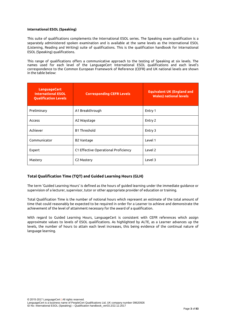#### **International ESOL (Speaking)**

This suite of qualifications complements the International ESOL series. The Speaking exam qualification is a separately administered spoken examination and is available at the same levels as the International ESOL (Listening, Reading and Writing) suite of qualifications. This is the qualification handbook for International ESOL (Speaking) qualifications.

This range of qualifications offers a communicative approach to the testing of Speaking at six levels. The names used for each level of the LanguageCert International ESOL qualifications and each level's correspondence to the Common European Framework of Reference (CEFR) and UK national levels are shown in the table below:

| <b>LanguageCert</b><br><b>International ESOL</b><br><b>Qualification Levels</b> | <b>Corresponding CEFR Levels</b>     | <b>Equivalent UK (England and</b><br><b>Wales) national levels</b> |
|---------------------------------------------------------------------------------|--------------------------------------|--------------------------------------------------------------------|
| Preliminary                                                                     | A1 Breakthrough                      | Entry 1                                                            |
| Access                                                                          | A2 Waystage                          | Entry 2                                                            |
| Achiever                                                                        | <b>B1 Threshold</b>                  | Entry 3                                                            |
| Communicator                                                                    | <b>B2 Vantage</b>                    | Level 1                                                            |
| Expert                                                                          | C1 Effective Operational Proficiency | Level 2                                                            |
| Mastery                                                                         | C <sub>2</sub> Mastery               | Level 3                                                            |

# **Total Qualification Time (TQT) and Guided Learning Hours (GLH)**

The term 'Guided Learning Hours' is defined as the hours of guided learning under the immediate guidance or supervision of a lecturer, supervisor, tutor or other appropriate provider of education or training.

Total Qualification Time is the number of notional hours which represent an estimate of the total amount of time that could reasonably be expected to be required in order for a Learner to achieve and demonstrate the achievement of the level of attainment necessary for the award of a qualification.

With regard to Guided Learning Hours, LanguageCert is consistent with CEFR references which assign approximate values to levels of ESOL qualifications. As highlighted by ALTE, as a Learner advances up the levels, the number of hours to attain each level increases, this being evidence of the continual nature of language learning.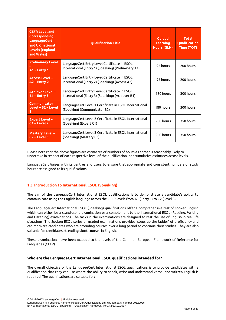| <b>CEFR Level and</b><br><b>Corresponding</b><br><b>LanguageCert</b><br>and UK national<br><b>Levels (England</b><br>and Wales) | <b>Qualification Title</b>                                                                          | <b>Guided</b><br>Learning<br><b>Hours (GLH)</b> | <b>Total</b><br>Qualification<br>Time (TQT) |
|---------------------------------------------------------------------------------------------------------------------------------|-----------------------------------------------------------------------------------------------------|-------------------------------------------------|---------------------------------------------|
| <b>Preliminary Level</b><br>A1 - Entry 1                                                                                        | LanguageCert Entry Level Certificate in ESOL<br>International (Entry 1) (Speaking) (Preliminary A1) | 95 hours                                        | 200 hours                                   |
| <b>Access Level -</b><br>$A2$ – Entry 2                                                                                         | LanguageCert Entry Level Certificate in ESOL<br>International (Entry 2) (Speaking) (Access A2)      | 95 hours                                        | 200 hours                                   |
| <b>Achiever Level -</b><br>$B1$ – Entry 3                                                                                       | LanguageCert Entry Level Certificate in ESOL<br>International (Entry 3) (Speaking) (Achiever B1)    | 180 hours                                       | 300 hours                                   |
| <b>Communicator</b><br>Level - B2 - Level                                                                                       | LanguageCert Level 1 Certificate in ESOL International<br>(Speaking) (Communicator B2)              | 180 hours                                       | 300 hours                                   |
| <b>Expert Level-</b><br>$C1 - Level 2$                                                                                          | LanguageCert Level 2 Certificate in ESOL International<br>(Speaking) (Expert C1)                    | 200 hours                                       | 350 hours                                   |
| <b>Mastery Level -</b><br>$C2 - Level 3$                                                                                        | LanguageCert Level 3 Certificate in ESOL International<br>(Speaking) (Mastery C2)                   | 250 hours                                       | 350 hours                                   |

Please note that the above figures are estimates of numbers of hours a Learner is reasonably likely to undertake in respect of each respective level of the qualification, not cumulative estimates across levels.

LanguageCert liaises with its centres and users to ensure that appropriate and consistent numbers of study hours are assigned to its qualifications.

# <span id="page-4-0"></span>**1.3. Introduction to International ESOL (Speaking)**

The aim of the LanguageCert International ESOL qualifications is to demonstrate a candidate's ability to communicate using the English language across the CEFR levels from A1 (Entry 1) to C2 (Level 3).

The LanguageCert International ESOL (Speaking) qualifications offer a comprehensive test of spoken English which can either be a stand-alone examination or a complement to the International ESOL (Reading, Writing and Listening) examinations. The tasks in the examinations are designed to test the use of English in real-life situations. The Spoken ESOL series of graded examinations provides 'steps up the ladder' of proficiency and can motivate candidates who are attending courses over a long period to continue their studies. They are also suitable for candidates attending short courses in English.

These examinations have been mapped to the levels of the Common European Framework of Reference for Languages (CEFR).

# **Who are the LanguageCert International ESOL qualifications intended for?**

The overall objective of the LanguageCert International ESOL qualifications is to provide candidates with a qualification that they can use where the ability to speak, write and understand verbal and written English is required. The qualifications are suitable for: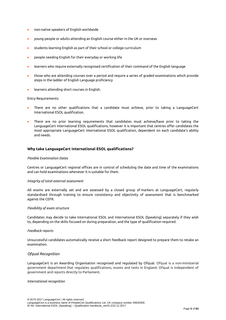- non-native speakers of English worldwide
- young people or adults attending an English course either in the UK or overseas
- students learning English as part of their school or college curriculum
- people needing English for their everyday or working life
- learners who require externally recognised certification of their command of the English language
- those who are attending courses over a period and require a series of graded examinations which provide steps in the ladder of English Language proficiency
- learners attending short courses in English.

#### Entry Requirements:

- There are no other qualifications that a candidate must achieve, prior to taking a LanguageCert International ESOL qualification.
- There are no prior learning requirements that candidates must achieve/have prior to taking the LanguageCert International ESOL qualifications, however it is important that centres offer candidates the most appropriate LanguageCert International ESOL qualification, dependent on each candidate's ability and needs.

#### **Why take LanguageCert International ESOL qualifications?**

#### *Flexible Examination Dates*

Centres or LanguageCert regional offices are in control of scheduling the date and time of the examinations and can hold examinations whenever it is suitable for them.

#### *Integrity of total external assessment*

All exams are externally set and are assessed by a closed group of markers at LanguageCert, regularly standardised through training to ensure consistency and objectivity of assessment that is benchmarked against the CEFR.

#### *Flexibility of exam structure*

Candidates may decide to take International ESOL and International ESOL (Speaking) separately if they wish to, depending on the skills focused on during preparation, and the type of qualification required.

#### *Feedback reports*

Unsuccessful candidates automatically receive a short feedback report designed to prepare them to retake an examination.

# *Ofqual Recognition*

LanguageCert is an Awarding Organisation recognised and regulated by Ofqual. Ofqual is a non-ministerial government department that regulates qualifications, exams and tests in England. Ofqual is independent of government and reports directly to Parliament.

#### *International recognition*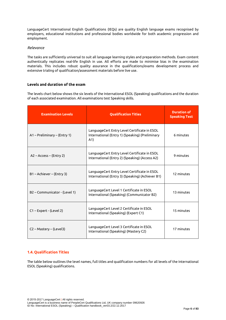LanguageCert International English Qualifications (IEQs) are quality English language exams recognised by employers, educational institutions and professional bodies worldwide for both academic progression and employment.

# *Relevance*

The tasks are sufficiently universal to suit all language learning styles and preparation methods. Exam content authentically replicates real-life English in use. All efforts are made to minimise bias in the examination materials. This includes robust quality assurance in the qualifications/exams development process and extensive trialing of qualification/assessment materials before live use.

# **Levels and duration of the exam**

The levels chart below shows the six levels of the International ESOL (Speaking) qualifications and the duration of each associated examination. All examinations test Speaking skills.

| <b>Examination Levels</b>     | <b>Qualification Titles</b>                                                                            | <b>Duration of</b><br><b>Speaking Test</b> |
|-------------------------------|--------------------------------------------------------------------------------------------------------|--------------------------------------------|
| A1 – Preliminary – (Entry 1)  | LanguageCert Entry Level Certificate in ESOL<br>International (Entry 1) (Speaking) (Preliminary<br>A1) | 6 minutes                                  |
| $A2 - Access - (Entry 2)$     | LanguageCert Entry Level Certificate in ESOL<br>International (Entry 2) (Speaking) (Access A2)         | 9 minutes                                  |
| $B1 -$ Achiever – (Entry 3)   | LanguageCert Entry Level Certificate in ESOL<br>International (Entry 3) (Speaking) (Achiever B1)       | 12 minutes                                 |
| B2 – Communicator - (Level 1) | LanguageCert Level 1 Certificate in ESOL<br>International (Speaking) (Communicator B2)                 | 13 minutes                                 |
| C1 – Expert - (Level 2)       | LanguageCert Level 2 Certificate in ESOL<br>International (Speaking) (Expert C1)                       | 15 minutes                                 |
| C2 – Mastery – (Level3)       | LanguageCert Level 3 Certificate in ESOL<br>International (Speaking) (Mastery C2)                      | 17 minutes                                 |

# <span id="page-6-0"></span>**1.4. Qualification Titles**

The table below outlines the level names, full titles and qualification numbers for all levels of the International ESOL (Speaking) qualifications.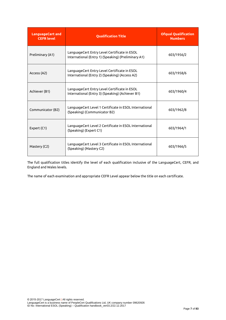| <b>LanguageCert and</b><br><b>CEFR level</b> | <b>Qualification Title</b>                                                                          | <b>Ofqual Qualification</b><br><b>Numbers</b> |
|----------------------------------------------|-----------------------------------------------------------------------------------------------------|-----------------------------------------------|
| Preliminary (A1)                             | LanguageCert Entry Level Certificate in ESOL<br>International (Entry 1) (Speaking) (Preliminary A1) | 603/1956/2                                    |
| Access (A2)                                  | LanguageCert Entry Level Certificate in ESOL<br>International (Entry 2) (Speaking) (Access A2)      | 603/1958/6                                    |
| Achiever (B1)                                | LanguageCert Entry Level Certificate in ESOL<br>International (Entry 3) (Speaking) (Achiever B1)    | 603/1960/4                                    |
| Communicator (B2)                            | LanguageCert Level 1 Certificate in ESOL International<br>(Speaking) (Communicator B2)              | 603/1962/8                                    |
| Expert (C1)                                  | LanguageCert Level 2 Certificate in ESOL International<br>(Speaking) (Expert C1)                    | 603/1964/1                                    |
| Mastery (C2)                                 | LanguageCert Level 3 Certificate in ESOL International<br>(Speaking) (Mastery C2)                   | 603/1966/5                                    |

The full qualification titles identify the level of each qualification inclusive of the LanguageCert, CEFR, and England and Wales levels.

The name of each examination and appropriate CEFR Level appear below the title on each certificate.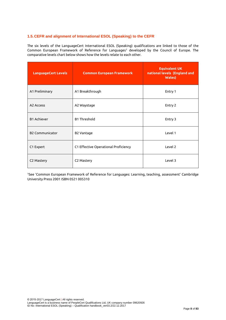# <span id="page-8-0"></span>**1.5. CEFR and alignment of International ESOL (Speaking) to the CEFR**

The six levels of the LanguageCert International ESOL (Speaking) qualifications are linked to those of the Common European Framework of Reference for Languages<sup>1</sup> developed by the Council of Europe. The comparative levels chart below shows how the levels relate to each other.

| <b>LanguageCert Levels</b> | <b>Common European Framework</b>     | <b>Equivalent UK</b><br>national levels (England and<br><b>Wales</b> ) |
|----------------------------|--------------------------------------|------------------------------------------------------------------------|
| A1 Preliminary             | A1 Breakthrough                      | Entry 1                                                                |
| A <sub>2</sub> Access      | A2 Waystage                          | Entry 2                                                                |
| <b>B1 Achiever</b>         | <b>B1 Threshold</b>                  | Entry 3                                                                |
| <b>B2 Communicator</b>     | <b>B2 Vantage</b>                    | Level 1                                                                |
| C1 Expert                  | C1 Effective Operational Proficiency | Level 2                                                                |
| C2 Mastery                 | C2 Mastery                           | Level 3                                                                |

<sup>1</sup>See 'Common European Framework of Reference for Languages: Learning, teaching, assessment' Cambridge University Press 2001 ISBN 0521 005310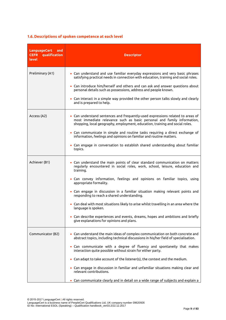# <span id="page-9-0"></span>**1.6. Descriptions of spoken competence at each level**

| LanguageCert and<br>qualification<br><b>CEFR</b><br><b>level</b> | <b>Descriptor</b>                                                                                                                                                                                                                                     |
|------------------------------------------------------------------|-------------------------------------------------------------------------------------------------------------------------------------------------------------------------------------------------------------------------------------------------------|
| Preliminary (A1)                                                 | • Can understand and use familiar everyday expressions and very basic phrases<br>satisfying practical needs in connection with education, training and social roles.<br>• Can introduce him/herself and others and can ask and answer questions about |
|                                                                  | personal details such as possessions, address and people known.                                                                                                                                                                                       |
|                                                                  | • Can interact in a simple way provided the other person talks slowly and clearly<br>and is prepared to help.                                                                                                                                         |
| Access (A2)                                                      | • Can understand sentences and frequently-used expressions related to areas of<br>most immediate relevance such as basic personal and family information,<br>shopping, local geography, employment, education, training and social roles.             |
|                                                                  | • Can communicate in simple and routine tasks requiring a direct exchange of<br>information, feelings and opinions on familiar and routine matters.                                                                                                   |
|                                                                  | • Can engage in conversation to establish shared understanding about familiar<br>topics.                                                                                                                                                              |
| Achiever (B1)                                                    | • Can understand the main points of clear standard communication on matters<br>regularly encountered in social roles, work, school, leisure, education and<br>training.                                                                               |
|                                                                  | . Can convey information, feelings and opinions on familiar topics, using<br>appropriate formality.                                                                                                                                                   |
|                                                                  | • Can engage in discussion in a familiar situation making relevant points and<br>responding to reach a shared understanding.                                                                                                                          |
|                                                                  | • Can deal with most situations likely to arise whilst travelling in an area where the<br>language is spoken.                                                                                                                                         |
|                                                                  | • Can describe experiences and events, dreams, hopes and ambitions and briefly<br>give explanations for opinions and plans.                                                                                                                           |
| Communicator (B2)                                                | • Can understand the main ideas of complex communication on both concrete and<br>abstract topics, including technical discussions in his/her field of specialisation.                                                                                 |
|                                                                  | . Can communicate with a degree of fluency and spontaneity that makes<br>interaction quite possible without strain for either party.                                                                                                                  |
|                                                                  | • Can adapt to take account of the listener(s), the context and the medium.                                                                                                                                                                           |
|                                                                  | • Can engage in discussion in familiar and unfamiliar situations making clear and<br>relevant contributions.                                                                                                                                          |
|                                                                  | • Can communicate clearly and in detail on a wide range of subjects and explain a                                                                                                                                                                     |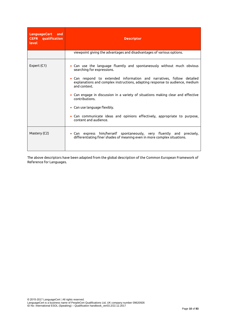| LanguageCert and<br>qualification<br><b>CEFR</b><br>level | <b>Descriptor</b>                                                                                                                                                                                                                                                                                                                                                                                                                                                                                                         |  |
|-----------------------------------------------------------|---------------------------------------------------------------------------------------------------------------------------------------------------------------------------------------------------------------------------------------------------------------------------------------------------------------------------------------------------------------------------------------------------------------------------------------------------------------------------------------------------------------------------|--|
|                                                           | viewpoint giving the advantages and disadvantages of various options.                                                                                                                                                                                                                                                                                                                                                                                                                                                     |  |
| Expert (C1)                                               | • Can use the language fluently and spontaneously without much obvious<br>searching for expressions.<br>• Can respond to extended information and narratives, follow detailed<br>explanations and complex instructions, adapting response to audience, medium<br>and context.<br>• Can engage in discussion in a variety of situations making clear and effective<br>contributions.<br>• Can use language flexibly.<br>• Can communicate ideas and opinions effectively, appropriate to purpose,<br>content and audience. |  |
| Mastery (C2)                                              | • Can express him/herself spontaneously, very fluently and precisely,<br>differentiating finer shades of meaning even in more complex situations.                                                                                                                                                                                                                                                                                                                                                                         |  |

The above descriptors have been adapted from the global description of the Common European Framework of Reference for Languages.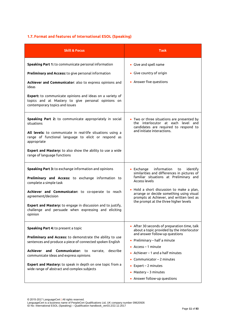# <span id="page-11-0"></span>**1.7. Format and features of International ESOL (Speaking)**

| <b>Skill &amp; Focus</b>                                                                                                                                                                                                                                                                                                                                                                                                                                                                                                                                                                                                                                       | Task                                                                                                                                                                                                                                                                                                                                               |
|----------------------------------------------------------------------------------------------------------------------------------------------------------------------------------------------------------------------------------------------------------------------------------------------------------------------------------------------------------------------------------------------------------------------------------------------------------------------------------------------------------------------------------------------------------------------------------------------------------------------------------------------------------------|----------------------------------------------------------------------------------------------------------------------------------------------------------------------------------------------------------------------------------------------------------------------------------------------------------------------------------------------------|
| Speaking Part 1: to communicate personal information<br>Preliminary and Access: to give personal information<br>Achiever and Communicator: also to express opinions and<br>ideas<br><b>Expert:</b> to communicate opinions and ideas on a variety of<br>topics and at Mastery to give personal opinions on<br>contemporary topics and issues<br>Speaking Part 2: to communicate appropriately in social<br>situations<br>All levels: to communicate in real-life situations using a<br>range of functional language to elicit or respond as<br>appropriate<br><b>Expert and Mastery:</b> to also show the ability to use a wide<br>range of language functions | • Give and spell name<br>• Give country of origin<br>• Answer five questions<br>• Two or three situations are presented by<br>the interlocutor at each level and<br>candidates are required to respond to<br>and initiate interactions.                                                                                                            |
| Speaking Part 3: to exchange information and opinions<br>Preliminary and Access: to exchange information to<br>complete a simple task<br>Achiever and Communicator: to co-operate to reach<br>agreement/decision<br><b>Expert and Mastery:</b> to engage in discussion and to justify,<br>challenge and persuade when expressing and eliciting<br>opinion                                                                                                                                                                                                                                                                                                      | $\bullet$ Exchange<br>information<br>identify<br>to<br>similarities and differences in pictures of<br>familiar situations at Preliminary and<br><b>Access levels</b><br>. Hold a short discussion to make a plan,<br>arrange or decide something using visual<br>prompts at Achiever, and written text as<br>the prompt at the three higher levels |
| Speaking Part 4: to present a topic<br>Preliminary and Access: to demonstrate the ability to use<br>sentences and produce a piece of connected spoken English<br>Achiever<br>Communicator:<br>and<br>describe<br>to<br>narrate.<br>communicate ideas and express opinions<br><b>Expert and Mastery:</b> to speak in depth on one topic from a<br>wide range of abstract and complex subjects                                                                                                                                                                                                                                                                   | • After 30 seconds of preparation time, talk<br>about a topic provided by the interlocutor<br>and answer follow-up questions<br>• Preliminary $-$ half a minute<br>• $Access - 1$ minute<br>• Achiever $-1$ and a half minutes<br>Communicator - 2 minutes<br>• Expert $-2$ minutes<br>• Mastery $-3$ minutes<br>• Answer follow-up questions      |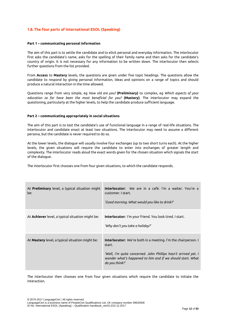# <span id="page-12-0"></span>**1.8. The four parts of International ESOL (Speaking)**

#### **Part 1 – communicating personal information**

The aim of this part is to settle the candidate and to elicit personal and everyday information. The interlocutor first asks the candidate's name, asks for the spelling of their family name and then asks for the candidate's country of origin. It is not necessary for any information to be written down. The interlocutor then selects further questions from the list provided.

From **Access** to **Mastery** levels, the questions are given under five topic headings. The questions allow the candidate to respond by giving personal information, ideas and opinions on a range of topics and should produce a natural interaction in the time allowed.

Questions range from very simple, eg *How old are you?* **(Preliminary)** to complex, eg *Which aspects of your education so far have been the most beneficial for you?* **(Mastery)**. The interlocutor may expand the questioning, particularly at the higher levels, to help the candidate produce sufficient language.

#### **Part 2 – communicating appropriately in social situations**

The aim of this part is to test the candidate's use of functional language in a range of real-life situations. The interlocutor and candidate enact at least two situations. The Interlocutor may need to assume a different persona, but the candidate is never required to do so.

At the lower levels, the dialogue will usually involve four exchanges (up to two short turns each). At the higher levels, the given situations will require the candidate to enter into exchanges of greater length and complexity. The interlocutor reads aloud the exact words given for the chosen situation which signals the start of the dialogue.

The interlocutor first chooses one from four given situations, to which the candidate responds.

| At <b>Preliminary</b> level, a typical situation might<br>be: | <b>Interlocutor:</b> We are in a café. I'm a waiter. You're a<br>customer. I start.<br>'Good morning. What would you like to drink?'                                                                                       |
|---------------------------------------------------------------|----------------------------------------------------------------------------------------------------------------------------------------------------------------------------------------------------------------------------|
| At <b>Achiever</b> level, a typical situation might be:       | <b>Interlocutor:</b> I'm your friend. You look tired. I start.<br>'Why don't you take a holiday?'                                                                                                                          |
| At <b>Mastery</b> level, a typical situation might be:        | Interlocutor: We're both in a meeting. I'm the chairperson. I<br>start.<br>'Well, I'm quite concerned. John Phillips hasn't arrived yet. I<br>wonder what's happened to him and if we should start. What<br>do you think?' |

The interlocutor then chooses one from four given situations which require the candidate to initiate the interaction.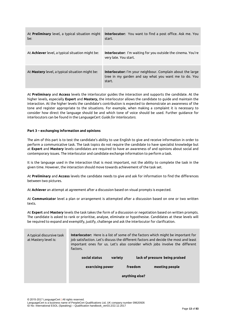| At <b>Preliminary</b> level, a typical situation might<br>be: | <b>Interlocutor:</b> You want to find a post office. Ask me. You<br>start.                                                           |
|---------------------------------------------------------------|--------------------------------------------------------------------------------------------------------------------------------------|
| At Achiever level, a typical situation might be:              | <b>Interlocutor:</b> I'm waiting for you outside the cinema. You're<br>very late. You start.                                         |
| At <b>Mastery</b> level, a typical situation might be:        | <b>Interlocutor:</b> I'm your neighbour. Complain about the large<br>tree in my garden and say what you want me to do. You<br>start. |

At **Preliminary** and **Access** levels the interlocutor guides the interaction and supports the candidate. At the higher levels, especially **Expert** and **Mastery,** the interlocutor allows the candidate to guide and maintain the interaction. At the higher levels the candidate's contribution is expected to demonstrate an awareness of the tone and register appropriate to the situations. For example, when making a complaint it is necessary to consider how direct the language should be and which tone of voice should be used. Further guidance for interlocutors can be found in the LanguageCert *Guide for Interlocutors.*

# **Part 3 – exchanging information and opinions**

The aim of this part is to test the candidate's ability to use English to give and receive information in order to perform a communicative task. The task topics do not require the candidate to have specialist knowledge but at **Expert** and **Mastery** levels candidates are required to have an awareness of and opinions about social and contemporary issues. The interlocutor and candidate exchange information to perform a task.

It is the language used in the interaction that is most important, not the ability to complete the task in the given time. However, the interaction should move towards achievement of the task set.

At **Preliminary** and **Access** levels the candidate needs to give and ask for information to find the differences between two pictures.

At **Achiever** an attempt at agreement after a discussion based on visual prompts is expected.

At **Communicator** level a plan or arrangement is attempted after a discussion based on one or two written texts.

At **Expert** and **Mastery** levels the task takes the form of a discussion or negotiation based on written prompts. The candidate is asked to rank or prioritise, analyse, eliminate or hypothesise. Candidates at these levels will be required to expand and exemplify, justify, challenge and ask the interlocutor for clarification.

| A typical discursive task<br>at Mastery level is: | <b>Interlocutor:</b> Here is a list of some of the factors which might be important for<br>job satisfaction. Let's discuss the different factors and decide the most and least<br>important ones for us. Let's also consider which jobs involve the different<br>factors. |                |  |
|---------------------------------------------------|---------------------------------------------------------------------------------------------------------------------------------------------------------------------------------------------------------------------------------------------------------------------------|----------------|--|
|                                                   | lack of pressure being praised<br>social status<br>variety<br>exercising power<br>freedom<br>meeting people                                                                                                                                                               |                |  |
|                                                   |                                                                                                                                                                                                                                                                           |                |  |
|                                                   |                                                                                                                                                                                                                                                                           | anything else? |  |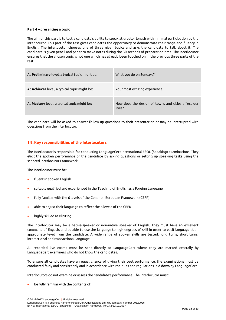#### **Part 4 – presenting a topic**

The aim of this part is to test a candidate's ability to speak at greater length with minimal participation by the interlocutor. This part of the test gives candidates the opportunity to demonstrate their range and fluency in English. The interlocutor chooses one of three given topics and asks the candidate to talk about it. The candidate is given pencil and paper to make notes during the 30 seconds of preparation time. The Interlocutor ensures that the chosen topic is not one which has already been touched on in the previous three parts of the test.

| At Preliminary level, a typical topic might be:     | What you do on Sundays?                                      |
|-----------------------------------------------------|--------------------------------------------------------------|
| At <b>Achiever</b> level, a typical topic might be: | Your most exciting experience.                               |
| At <b>Mastery</b> level, a typical topic might be:  | How does the design of towns and cities affect our<br>lives? |

The candidate will be asked to answer follow-up questions to their presentation or may be interrupted with questions from the interlocutor.

# <span id="page-14-0"></span>**1.9. Key responsibilities of the Interlocutors**

The Interlocutor is responsible for conducting LanguageCert International ESOL (Speaking) examinations. They elicit the spoken performance of the candidate by asking questions or setting up speaking tasks using the scripted Interlocutor Framework.

The Interlocutor must be:

- fluent in spoken English
- suitably qualified and experienced in the Teaching of English as a Foreign Language
- fully familiar with the 6 levels of the Common European Framework (CEFR)
- able to adjust their language to reflect the 6 levels of the CEFR
- highly skilled at eliciting

The Interlocutor may be a native-speaker or non-native speaker of English. They must have an excellent command of English, and be able to use the language to high degrees of skill in order to elicit language at an appropriate level from the candidate. A wide range of spoken skills are tested: long turns, short turns, interactional and transactional language.

All recorded live exams must be sent directly to LanguageCert where they are marked centrally by LanguageCert examiners who do not know the candidates.

To ensure all candidates have an equal chance of giving their best performance, the examinations must be conducted fairly and consistently and in accordance with the rules and regulations laid down by LanguageCert.

Interlocutors do not examine or assess the candidate's performance. The Interlocutor must:

be fully familiar with the contents of: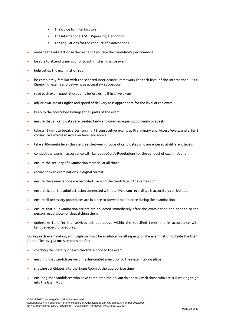- **The Guide for Interlocutors**
- The International ESOL (Speaking) Handbook
- The regulations for the conduct of examinations
- manage the interaction in the test and facilitate the candidate's performance
- be able to attend training prior to administering a live exam
- help set up the examination room
- be completely familiar with the scripted Interlocutor Framework for each level of the International ESOL (Speaking) exams and deliver it as accurately as possible
- read each exam paper thoroughly before using it in a live exam
- adjust own use of English and speed of delivery as is appropriate for the level of the exam
- keep to the prescribed timings for all parts of the exam
- ensure that all candidates are treated fairly and given an equal opportunity to speak
- take a 15-minute break after running 12 consecutive exams at Preliminary and Access levels, and after 8 consecutive exams at Achiever level and above
- take a 10-minute level-change break between groups of candidates who are entered at different levels
- conduct the exam in accordance with LanguageCert's Regulations for the conduct of examinations
- ensure the security of examination material at all times
- record spoken examinations in digital format
- ensure the examinations are recorded live with the candidate in the same room
- ensure that all the administration connected with the live exam recordings is accurately carried out.
- ensure all necessary procedures are in place to prevent malpractice during the examination
- ensure that all examination scripts are collected immediately after the examination and handed to the person responsible for despatching them
- undertake to offer the services set out above within the specified times and in accordance with LanguageCert' procedures.

During each examination, an Invigilator must be available for all aspects of the examination outside the Exam Room. The **Invigilator** is responsible for:

- checking the identity of each candidate prior to the exam
- ensuring that candidates wait in a designated area prior to their exam taking place
- showing candidates into the Exam Room at the appropriate time
- ensuring that candidates who have completed their exam do not mix with those who are still waiting to go into the Exam Room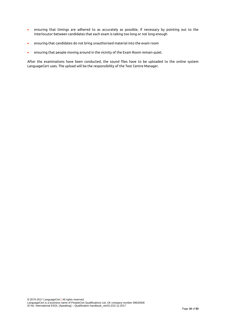- ensuring that timings are adhered to as accurately as possible, if necessary by pointing out to the Interlocutor between candidates that each exam is taking too long or not long enough
- ensuring that candidates do not bring unauthorised material into the exam room
- ensuring that people moving around in the vicinity of the Exam Room remain quiet.

After the examinations have been conducted, the sound files have to be uploaded to the online system LanguageCert uses. The upload will be the responsibility of the Test Centre Manager.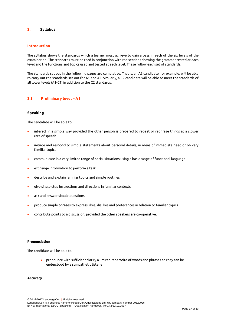# <span id="page-17-0"></span>**2. Syllabus**

# <span id="page-17-1"></span>**Introduction**

The syllabus shows the standards which a learner must achieve to gain a pass in each of the six levels of the examination. The standards must be read in conjunction with the sections showing the grammar tested at each level and the functions and topics used and tested at each level. These follow each set of standards.

The standards set out in the following pages are cumulative. That is, an A2 candidate, for example, will be able to carry out the standards set out for A1 and A2. Similarly, a C2 candidate will be able to meet the standards of all lower levels (A1-C1) in addition to the C2 standards.

# <span id="page-17-2"></span>**2.1 Preliminary level – A1**

# **Speaking**

The candidate will be able to:

- interact in a simple way provided the other person is prepared to repeat or rephrase things at a slower rate of speech
- initiate and respond to simple statements about personal details, in areas of immediate need or on very familiar topics
- communicate in a very limited range of social situations using a basic range of functional language
- exchange information to perform a task
- describe and explain familiar topics and simple routines
- give single-step instructions and directions in familiar contexts
- ask and answer simple questions
- produce simple phrases to express likes, dislikes and preferences in relation to familiar topics
- contribute points to a discussion, provided the other speakers are co-operative.

#### **Pronunciation**

The candidate will be able to:

 pronounce with sufficient clarity a limited repertoire of words and phrases so they can be understood by a sympathetic listener.

#### **Accuracy**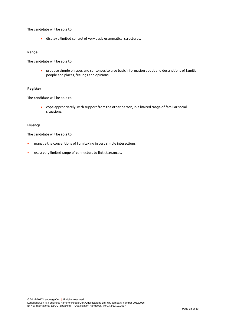The candidate will be able to:

display a limited control of very basic grammatical structures.

## **Range**

The candidate will be able to:

 produce simple phrases and sentences to give basic information about and descriptions of familiar people and places, feelings and opinions.

#### **Register**

The candidate will be able to:

 cope appropriately, with support from the other person, in a limited range of familiar social situations.

#### **Fluency**

The candidate will be able to:

- manage the conventions of turn taking in very simple interactions
- use a very limited range of connectors to link utterances.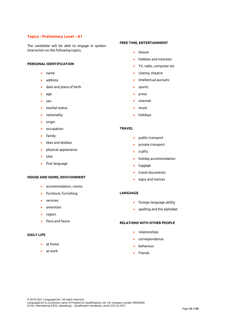# **Topics - Preliminary Level – A1**

The candidate will be able to engage in spoken interaction on the following topics.

#### **PERSONAL IDENTIFICATION**

- name
- address
- date and place of birth
- age
- sex
- marital status
- nationality
- origin
- **•** occupation
- family
- **•** likes and dislikes
- physical appearance
- title
- **•** first language

#### **HOUSE AND HOME, ENVI**R**ONMENT**

- accommodation, rooms
- furniture, furnishing
- **•** services
- amenities
- region
- **•** flora and fauna

#### **DAILY LIFE**

- at home
- at work

#### **FREE TIME, ENTERTAINMENT**

- **•** leisure
- hobbies and interests
- TV, radio, computer etc
- cinema, theatre
- intellectual pursuits
- sports
- press
- internet
- music
- holidays

#### **TRAVEL**

- public transport
- private transport
- traffic
- holiday accommodation
- luggage
- travel documents
- signs and notices

# **LANGUAGE**

- **•** foreign language ability
- spelling and the alphabet

# **RELATIONS WITH OTHER PEOPLE**

- relationships
- correspondence
- behaviour
- **•** friends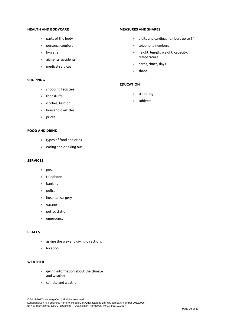#### **HEALTH AND BODYCARE**

- parts of the body
- personal comfort
- hygiene
- ailments, accidents
- medical services

#### **SHOPPING**

- shopping facilities
- **•** foodstuffs
- clothes, fashion
- household articles
- prices

#### **FOOD AND DRINK**

- types of food and drink
- eating and drinking out

## **SERVICES**

- post
- telephone
- banking
- police
- hospital, surgery
- garage
- petrol station
- emergency

#### **PLACES**

- asking the way and giving directions
- location

# **WEATHER**

- giving information about the climate and weather
- climate and weather

# **MEASURES AND SHAPES**

- digits and cardinal numbers up to 31
- telephone numbers
- height, length, weight, capacity, temperature
- dates, times, days
- shape

#### **EDUCATION**

- schooling
- subjects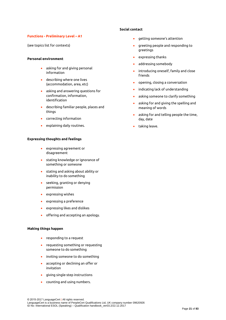## **Functions - Preliminary Level – A1**

(see topics list for contexts)

#### **Personal environment**

- asking for and giving personal information
- describing where one lives (accommodation, area, etc)
- asking and answering questions for confirmation, information, identification
- describing familiar people, places and things
- correcting information
- explaining daily routines.

#### **Expressing thoughts and feelings**

- expressing agreement or disagreement
- stating knowledge or ignorance of something or someone
- stating and asking about ability or inability to do something
- seeking, granting or denying permission
- expressing wishes
- expressing a preference
- expressing likes and dislikes
- offering and accepting an apology.

#### **Making things happen**

- responding to a request
- requesting something or requesting someone to do something
- inviting someone to do something
- accepting or declining an offer or invitation
- giving single-step instructions
- counting and using numbers.

# **Social contact**

- getting someone's attention
- greeting people and responding to greetings
- expressing thanks
- addressing somebody
- introducing oneself, family and close friends
- opening, closing a conversation
- indicating lack of understanding
- asking someone to clarify something
- asking for and giving the spelling and meaning of words
- asking for and telling people the time, day, date
- taking leave.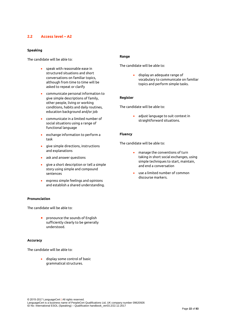# <span id="page-22-0"></span>**2.2 Access level – A2**

#### **Speaking**

The candidate will be able to:

- speak with reasonable ease in structured situations and short conversations on familiar topics, although from time to time will be asked to repeat or clarify
- communicate personal information to give simple descriptions of family, other people, living or working conditions, habits and daily routines, education background and/or job
- communicate in a limited number of social situations using a range of functional language
- exchange information to perform a task
- **•** give simple directions, instructions and explanations
- ask and answer questions
- give a short description or tell a simple story using simple and compound sentences
- express simple feelings and opinions and establish a shared understanding.

# **Pronunciation**

The candidate will be able to:

 pronounce the sounds of English sufficiently clearly to be generally understood.

#### **Accuracy**

The candidate will be able to:

 display some control of basic grammatical structures.

# **Range**

The candidate will be able to:

 display an adequate range of vocabulary to communicate on familiar topics and perform simple tasks.

#### **Register**

The candidate will be able to:

 adjust language to suit context in straightforward situations.

#### **Fluency**

The candidate will be able to:

- manage the conventions of turn taking in short social exchanges, using simple techniques to start, maintain, and end a conversation
- use a limited number of common discourse markers.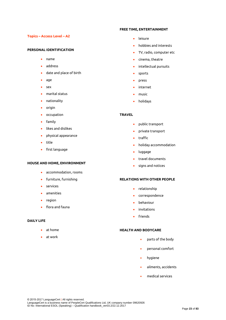#### **Topics – Access Level – A2**

# **PERSONAL IDENTIFICATION**

- name
- address
- date and place of birth
- age
- sex
- marital status
- nationality
- $\bullet$  origin
- $\bullet$  occupation
- **•** family
- likes and dislikes
- physical appearance
- title
- **•** first language

#### **HOUSE AND HOME, ENVIRONMENT**

- accommodation, rooms
- furniture, furnishing
- **•** services
- amenities
- region
- **•** flora and fauna

#### **DAILY LIFE**

- at home
- at work

#### **FREE TIME, ENTERTAINMENT**

- **·** leisure
- hobbies and interests
- TV, radio, computer etc
- cinema, theatre
- intellectual pursuits
- sports
- press
- internet
- music
- holidays

#### **TRAVEL**

- public transport
- private transport
- **•** traffic
- holiday accommodation
- luggage
- travel documents
- signs and notices

#### **RELATIONS WITH OTHER PEOPLE**

- relationship
- correspondence
- **•** behaviour
- invitations
- **•** friends

#### **HEALTH AND BODYCARE**

- parts of the body
- personal comfort
- hygiene
- ailments, accidents
- medical services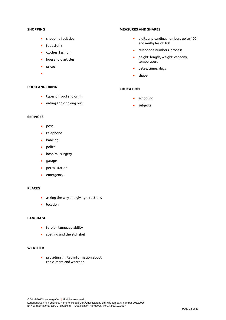# **SHOPPING**

- shopping facilities
- **•** foodstuffs
- $\bullet$  clothes, fashion
- household articles
- prices
- $\bullet$

# **FOOD AND DRINK**

- types of food and drink
- eating and drinking out

# **SERVICES**

- post
- telephone
- banking
- police
- hospital, surgery
- garage
- petrol station
- emergency

# **PLACES**

- asking the way and giving directions
- location

# **LANGUAGE**

- foreign language ability
- spelling and the alphabet

# **WEATHER**

 providing limited information about the climate and weather

# **MEASURES AND SHAPES**

- digits and cardinal numbers up to 100 and multiples of 100
- telephone numbers, process
- height, length, weight, capacity, temperature
- dates, times, days
- shape

## **EDUCATION**

- schooling
- subjects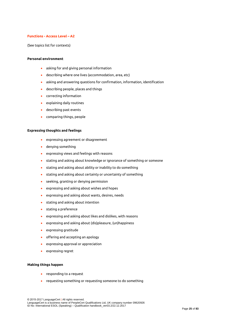#### **Functions - Access Level – A2**

(See topics list for contexts)

#### **Personal environment**

- asking for and giving personal information
- describing where one lives (accommodation, area, etc)
- asking and answering questions for confirmation, information, identification
- describing people, places and things
- correcting information
- explaining daily routines
- describing past events
- comparing things, people

#### **Expressing thoughts and feelings**

- expressing agreement or disagreement
- denying something
- expressing views and feelings with reasons
- stating and asking about knowledge or ignorance of something or someone
- stating and asking about ability or inability to do something
- stating and asking about certainty or uncertainty of something
- seeking, granting or denying permission
- expressing and asking about wishes and hopes
- expressing and asking about wants, desires, needs
- stating and asking about intention
- stating a preference
- expressing and asking about likes and dislikes, with reasons
- expressing and asking about (dis)pleasure, (un)happiness
- expressing gratitude
- offering and accepting an apology
- expressing approval or appreciation
- expressing regret

#### **Making things happen**

- responding to a request
- requesting something or requesting someone to do something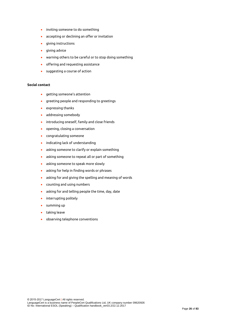- inviting someone to do something
- accepting or declining an offer or invitation
- **•** giving instructions
- **•** giving advice
- warning others to be careful or to stop doing something
- offering and requesting assistance
- suggesting a course of action

# **Social contact**

- getting someone's attention
- greeting people and responding to greetings
- $\bullet$  expressing thanks
- addressing somebody
- introducing oneself, family and close friends
- opening, closing a conversation
- congratulating someone
- indicating lack of understanding
- asking someone to clarify or explain something
- asking someone to repeat all or part of something
- asking someone to speak more slowly
- asking for help in finding words or phrases
- asking for and giving the spelling and meaning of words
- counting and using numbers
- asking for and telling people the time, day, date
- interrupting politely
- summing up
- taking leave
- observing telephone conventions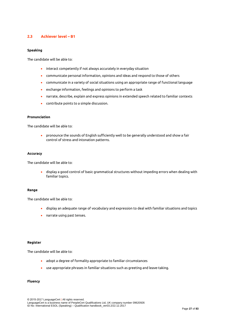# <span id="page-27-0"></span>**2.3 Achiever level – B1**

#### **Speaking**

The candidate will be able to:

- interact competently if not always accurately in everyday situation
- communicate personal information, opinions and ideas and respond to those of others
- communicate in a variety of social situations using an appropriate range of functional language
- exchange information, feelings and opinions to perform a task
- narrate, describe, explain and express opinions in extended speech related to familiar contexts
- contribute points to a simple discussion.

#### **Pronunciation**

The candidate will be able to:

 pronounce the sounds of English sufficiently well to be generally understood and show a fair control of stress and intonation patterns.

#### **Accuracy**

The candidate will be able to:

 display a good control of basic grammatical structures without impeding errors when dealing with familiar topics.

#### **Range**

The candidate will be able to:

- display an adequate range of vocabulary and expression to deal with familiar situations and topics
- narrate using past tenses.

#### **Register**

The candidate will be able to:

- adopt a degree of formality appropriate to familiar circumstances
- use appropriate phrases in familiar situations such as greeting and leave-taking.

#### **Fluency**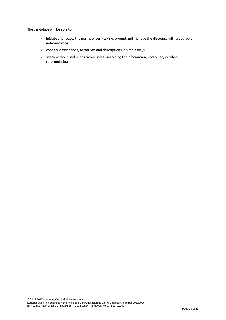The candidate will be able to:

- initiate and follow the norms of turn-taking, prompt and manage the discourse with a degree of independence
- connect descriptions, narratives and descriptions in simple ways
- speak without undue hesitation unless searching for information, vocabulary or when reformulating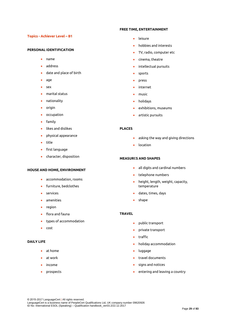#### **Topics - Achiever Level – B1**

# **PERSONAL IDENTIFICATION**

- name
- address
- date and place of birth
- age
- sex
- marital status
- nationality
- origin
- $\bullet$  occupation
- **•** family
- likes and dislikes
- physical appearance
- title
- **•** first language
- character, disposition

#### **HOUSE AND HOME, ENVIRONMENT**

- accommodation, rooms
- furniture, bedclothes
- **•** services
- amenities
- $\bullet$  region
- flora and fauna
- types of accommodation
- $\bullet$  cost

#### **DAILY LIFE**

- at home
- at work
- income
- prospects

#### **FREE TIME, ENTERTAINMENT**

- leisure
- hobbies and interests
- TV, radio, computer etc
- cinema, theatre
- intellectual pursuits
- sports
- press
- internet
- music
- holidays
- exhibitions, museums
- artistic pursuits

#### **PLACES**

- asking the way and giving directions
- location

#### **MEASUR**E**S AND SHAPES**

- all digits and cardinal numbers
- telephone numbers
- height, length, weight, capacity, temperature
- dates, times, days
- shape

# **TRAVEL**

- public transport
- private transport
- traffic
- holiday accommodation
- luggage
- travel documents
- signs and notices
- entering and leaving a country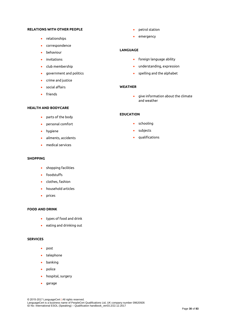# **RELATIONS WITH OTHER PEOPLE**

- relationships
- correspondence
- behaviour
- invitations
- club membership
- government and politics
- **•** crime and justice
- social affairs
- friends

#### **HEALTH AND BODYCARE**

- parts of the body
- personal comfort
- hygiene
- ailments, accidents
- medical services

#### **SHOPPING**

- shopping facilities
- **•** foodstuffs
- clothes, fashion
- household articles
- prices

#### **FOOD AND DRINK**

- types of food and drink
- eating and drinking out

#### **SERVICES**

- post
- telephone
- banking
- police
- hospital, surgery
- garage
- © 2015-2017 LanguageCert | All rights reserved. LanguageCert is a business name of PeopleCert Qualifications Ltd, UK company number 09620926 ID No: International ESOL (Speaking) – Qualification handbook\_ver03.2/22.12.2017
- petrol station
- emergency

# **LANGUAGE**

- foreign language ability
- understanding, expression
- spelling and the alphabet

# **WEATHER**

 give information about the climate and weather

# **EDUCATION**

- schooling
- subjects
- qualifications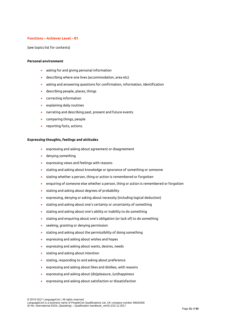#### **Functions – Achiever Level – B1**

(see topics list for contexts)

#### **Personal environment**

- asking for and giving personal information
- describing where one lives (accommodation, area etc)
- asking and answering questions for confirmation, information, identification
- describing people, places, things
- correcting information
- explaining daily routines
- narrating and describing past, present and future events
- comparing things, people
- reporting facts, actions.

#### **Expressing thoughts, feelings and attitudes**

- expressing and asking about agreement or disagreement
- denying something
- expressing views and feelings with reasons
- stating and asking about knowledge or ignorance of something or someone
- stating whether a person, thing or action is remembered or forgotten
- enquiring of someone else whether a person, thing or action is remembered or forgotten
- stating and asking about degrees of probability
- expressing, denying or asking about necessity (including logical deduction)
- stating and asking about one's certainty or uncertainty of something
- stating and asking about one's ability or inability to do something
- stating and enquiring about one's obligation (or lack of) to do something
- seeking, granting or denying permission
- stating and asking about the permissibility of doing something
- expressing and asking about wishes and hopes
- expressing and asking about wants, desires, needs
- stating and asking about intention
- stating, responding to and asking about preference
- expressing and asking about likes and dislikes, with reasons
- expressing and asking about (dis)pleasure, (un)happiness
- expressing and asking about satisfaction or dissatisfaction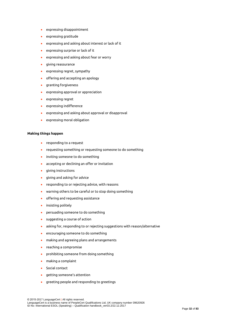- expressing disappointment
- expressing gratitude
- expressing and asking about interest or lack of it
- expressing surprise or lack of it
- expressing and asking about fear or worry
- **•** giving reassurance
- expressing regret, sympathy
- offering and accepting an apology
- granting forgiveness
- expressing approval or appreciation
- expressing regret
- expressing indifference
- expressing and asking about approval or disapproval
- expressing moral obligation

#### **Making things happen**

- responding to a request
- requesting something or requesting someone to do something
- inviting someone to do something
- accepting or declining an offer or invitation
- **•** giving instructions
- giving and asking for advice
- responding to or rejecting advice, with reasons
- warning others to be careful or to stop doing something
- offering and requesting assistance
- **•** insisting politely
- persuading someone to do something
- suggesting a course of action
- asking for, responding to or rejecting suggestions with reason/alternative
- encouraging someone to do something
- making and agreeing plans and arrangements
- reaching a compromise
- prohibiting someone from doing something
- making a complaint
- Social contact
- getting someone's attention
- greeting people and responding to greetings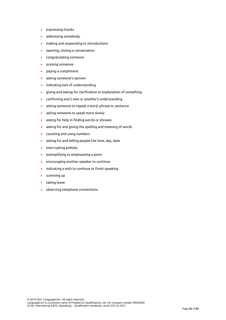- expressing thanks
- addressing somebody
- making and responding to introductions
- opening, closing a conversation
- congratulating someone
- praising someone
- paying a compliment
- asking someone's opinion
- indicating lack of understanding
- giving and asking for clarification or explanation of something
- confirming one's own or another's understanding
- asking someone to repeat a word, phrase or sentence
- asking someone to speak more slowly
- asking for help in finding words or phrases
- asking for and giving the spelling and meaning of words
- counting and using numbers
- asking for and telling people the time, day, date
- interrupting politely
- exemplifying or emphasising a point
- encouraging another speaker to continue
- $\bullet$  indicating a wish to continue or finish speaking
- summing up
- $\bullet$  taking leave
- observing telephone conventions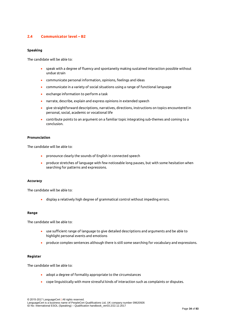# <span id="page-34-0"></span>**2.4 Communicator level – B2**

#### **Speaking**

The candidate will be able to:

- speak with a degree of fluency and spontaneity making sustained interaction possible without undue strain
- communicate personal information, opinions, feelings and ideas
- communicate in a variety of social situations using a range of functional language
- exchange information to perform a task
- narrate, describe, explain and express opinions in extended speech
- give straightforward descriptions, narratives, directions, instructions on topics encountered in personal, social, academic or vocational life
- contribute points to an argument on a familiar topic integrating sub-themes and coming to a conclusion.

#### **Pronunciation**

The candidate will be able to:

- pronounce clearly the sounds of English in connected speech
- produce stretches of language with few noticeable long pauses, but with some hesitation when searching for patterns and expressions.

#### **Accuracy**

The candidate will be able to:

display a relatively high degree of grammatical control without impeding errors.

#### **Range**

The candidate will be able to:

- use sufficient range of language to give detailed descriptions and arguments and be able to highlight personal events and emotions
- produce complex sentences although there is still some searching for vocabulary and expressions.

#### **Register**

The candidate will be able to:

- adopt a degree of formality appropriate to the circumstances
- cope linguistically with more stressful kinds of interaction such as complaints or disputes.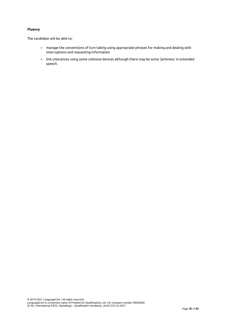# **Fluency**

The candidate will be able to:

- manage the conventions of turn taking using appropriate phrases for making and dealing with interruptions and requesting information
- link utterances using some cohesive devices although there may be some 'jerkiness' in extended speech.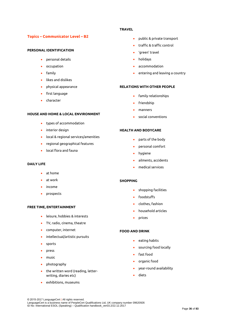# **Topics – Communicator Level – B2**

### **PERSONAL IDENTIFICATION**

- personal details
- occupation
- family
- **•** likes and dislikes
- physical appearance
- first language
- character

### **HOUSE AND HOME & LOCAL ENVIRONMENT**

- types of accommodation
- interior design
- local & regional services/amenities
- regional geographical features
- local flora and fauna

# **DAILY LIFE**

- at home
- at work
- income
- prospects

### **FREE TIME, ENTERTAINMENT**

- leisure, hobbies & interests
- TV, radio, cinema, theatre
- computer, internet
- intellectual/artistic pursuits
- sports
- press
- music
- photography
- the written word (reading, letterwriting, diaries etc)
- exhibitions, museums

# **TRAVEL**

- public & private transport
- traffic & traffic control
- 'green' travel
- holidays
- accommodation
- entering and leaving a country

## **RELATIONS WITH OTHER PEOPLE**

- **•** family relationships
- friendship
- manners
- social conventions

## **HEALTH AND BODYCARE**

- parts of the body
- personal comfort
- hygiene
- ailments, accidents
- medical services

# **SHOPPING**

- shopping facilities
- **•** foodstuffs
- clothes, fashion
- household articles
- $\bullet$  prices

# **FOOD AND DRINK**

- eating habits
- sourcing food locally
- fast food
- organic food
- year-round availability
- diets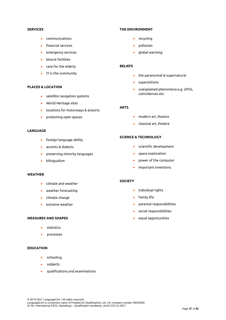### **SERVICES**

- communications
- **•** financial services
- **emergency services**
- leisure facilities
- care for the elderly
- IT in the community

## **PLACES & LOCATION**

- satellite navigation systems
- World Heritage sites
- locations for motorways & airports
- protecting open spaces

# **LANGUAGE**

- foreign language ability
- accents & dialects
- preserving minority languages
- bilingualism

## **WEATHER**

- climate and weather
- weather forecasting
- climate change
- extreme weather

# **MEASURES AND SHAPES**

- statistics
- processes

# **EDUCATION**

- schooling
- subjects
- qualifications and examinations

# **THE ENVIRONMENT**

- recycling
- pollution
- global warming

### **BELIEFS**

- the paranormal & supernatural
- superstitions
- unexplained phenomena e.g. UFOs, coincidences etc.

# **ARTS**

- modern art, theatre
- classical art, theatre

## **SCIENCE & TECHNOLOGY**

- scientific development
- space exploration
- power of the computer
- important inventions

## **SOCIETY**

- individual rights
- **•** family life
- parental responsibilities
- social responsibilities
- equal opportunities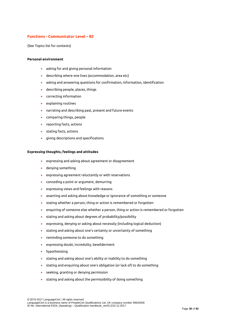# **Functions - Communicator Level – B2**

(See Topics list for contexts)

#### **Personal environment**

- asking for and giving personal information
- describing where one lives (accommodation, area etc)
- asking and answering questions for confirmation, information, identification
- describing people, places, things
- correcting information
- explaining routines
- narrating and describing past, present and future events
- comparing things, people
- reporting facts, actions
- stating facts, actions
- giving descriptions and specifications

#### **Expressing thoughts, feelings and attitudes**

- expressing and asking about agreement or disagreement
- denying something
- expressing agreement reluctantly or with reservations
- conceding a point or argument, demurring
- expressing views and feelings with reasons
- asserting and asking about knowledge or ignorance of something or someone
- stating whether a person, thing or action is remembered or forgotten
- enquiring of someone else whether a person, thing or action is remembered or forgotten
- stating and asking about degrees of probability/possibility
- expressing, denying or asking about necessity (including logical deduction)
- stating and asking about one's certainty or uncertainty of something
- reminding someone to do something
- expressing doubt, incredulity, bewilderment
- hypothesising
- stating and asking about one's ability or inability to do something
- stating and enquiring about one's obligation (or lack of) to do something
- seeking, granting or denying permission
- stating and asking about the permissibility of doing something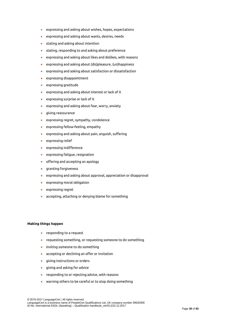- expressing and asking about wishes, hopes, expectations
- expressing and asking about wants, desires, needs
- stating and asking about intention
- stating, responding to and asking about preference
- expressing and asking about likes and dislikes, with reasons
- expressing and asking about (dis)pleasure, (un)happiness
- expressing and asking about satisfaction or dissatisfaction
- expressing disappointment
- expressing gratitude
- expressing and asking about interest or lack of it
- expressing surprise or lack of it
- expressing and asking about fear, worry, anxiety
- **•** giving reassurance
- expressing regret, sympathy, condolence
- expressing fellow-feeling, empathy
- expressing and asking about pain, anguish, suffering
- expressing relief
- expressing indifference
- expressing fatigue, resignation
- offering and accepting an apology
- **•** granting forgiveness
- expressing and asking about approval, appreciation or disapproval
- expressing moral obligation
- expressing regret
- accepting, attaching or denying blame for something

### **Making things happen**

- responding to a request
- requesting something, or requesting someone to do something
- inviting someone to do something
- accepting or declining an offer or invitation
- **•** giving instructions or orders
- giving and asking for advice
- responding to or rejecting advice, with reasons
- warning others to be careful or to stop doing something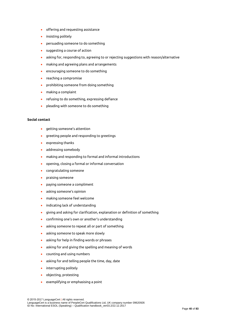- offering and requesting assistance
- insisting politely
- persuading someone to do something
- suggesting a course of action
- asking for, responding to, agreeing to or rejecting suggestions with reason/alternative
- making and agreeing plans and arrangements
- encouraging someone to do something
- reaching a compromise
- prohibiting someone from doing something
- making a complaint
- refusing to do something, expressing defiance
- pleading with someone to do something

### **Social contact**

- getting someone's attention
- greeting people and responding to greetings
- **•** expressing thanks
- addressing somebody
- making and responding to formal and informal introductions
- opening, closing a formal or informal conversation
- congratulating someone
- praising someone
- paying someone a compliment
- asking someone's opinion
- making someone feel welcome
- indicating lack of understanding
- giving and asking for clarification, explanation or definition of something
- confirming one's own or another's understanding
- asking someone to repeat all or part of something
- asking someone to speak more slowly
- asking for help in finding words or phrases
- asking for and giving the spelling and meaning of words
- counting and using numbers
- asking for and telling people the time, day, date
- interrupting politely
- objecting, protesting
- exemplifying or emphasising a point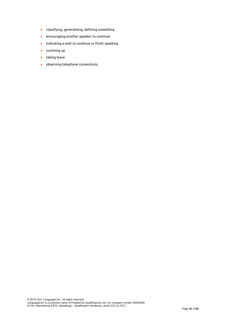- classifying, generalising, defining something
- encouraging another speaker to continue
- $\bullet$  indicating a wish to continue or finish speaking
- summing up
- taking leave
- observing telephone conventions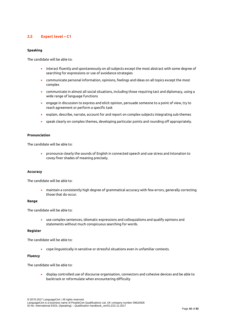# **2.5 Expert level – C1**

### **Speaking**

The candidate will be able to:

- interact fluently and spontaneously on all subjects except the most abstract with some degree of searching for expressions or use of avoidance strategies
- communicate personal information, opinions, feelings and ideas on all topics except the most complex
- communicate in almost all social situations, including those requiring tact and diplomacy, using a wide range of language functions
- engage in discussion to express and elicit opinion, persuade someone to a point of view, try to reach agreement or perform a specific task
- explain, describe, narrate, account for and report on complex subjects integrating sub-themes
- speak clearly on complex themes, developing particular points and rounding off appropriately.

# **Pronunciation**

The candidate will be able to:

 pronounce clearly the sounds of English in connected speech and use stress and intonation to covey finer shades of meaning precisely.

#### **Accuracy**

The candidate will be able to:

 maintain a consistently high degree of grammatical accuracy with few errors, generally correcting those that do occur.

### **Range**

The candidate will be able to:

 use complex sentences, idiomatic expressions and colloquialisms and qualify opinions and statements without much conspicuous searching for words.

## **Register**

The candidate will be able to:

cope linguistically in sensitive or stressful situations even in unfamiliar contexts.

## **Fluency**

The candidate will be able to:

 display controlled use of discourse organisation, connectors and cohesive devices and be able to backtrack or reformulate when encountering difficulty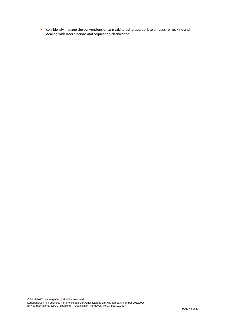confidently manage the conventions of turn taking using appropriate phrases for making and dealing with interruptions and requesting clarification.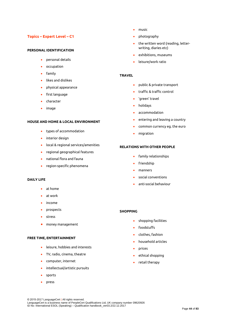# **Topics – Expert Level – C1**

## **PERSONAL IDENTIFICATION**

- personal details
- **•** occupation
- family
- **•** likes and dislikes
- physical appearance
- **•** first language
- character
- image

### **HOUSE AND HOME & LOCAL ENVIRONMENT**

- types of accommodation
- **•** interior design
- local & regional services/amenities
- regional geographical features
- national flora and fauna
- region-specific phenomena

## **DAILY LIFE**

- at home
- at work
- income
- prospects
- stress
- money management

#### **FREE TIME, ENTERTAINMENT**

- leisure, hobbies and interests
- TV, radio, cinema, theatre
- computer, internet
- intellectual/artistic pursuits
- sports
- press
- music
- photography
- the written word (reading, letterwriting, diaries etc)
- exhibitions, museums
- leisure/work ratio

## **TRAVEL**

- public & private transport
- traffic & traffic control
- 'green' travel
- holidays
- accommodation
- entering and leaving a country
- common currency eg. the euro
- migration

# **RELATIONS WITH OTHER PEOPLE**

- **•** family relationships
- friendship
- manners
- social conventions
- anti-social behaviour

### **SHOPPING**

- **•** shopping facilities
- **•** foodstuffs
- clothes, fashion
- household articles
- prices
- ethical shopping
- retail therapy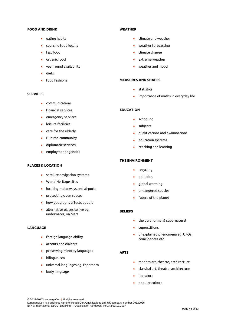### **FOOD AND DRINK**

- $\bullet$  eating habits
- sourcing food locally
- fast food
- organic food
- year round availability
- diets
- food fashions

### **SERVICES**

- communications
- **financial services**
- **emergency services**
- **·** leisure facilities
- care for the elderly
- IT in the community
- diplomatic services
- employment agencies

## **PLACES & LOCATION**

- satellite navigation systems
- World Heritage sites
- locating motorways and airports
- protecting open spaces
- how geography affects people
- alternative places to live eg. underwater, on Mars

# **LANGUAGE**

- foreign language ability
- accents and dialects
- preserving minority languages
- bilingualism
- universal languages eg. Esperanto
- body language

### **WEATHER**

- climate and weather
- weather forecasting
- $\bullet$  climate change
- extreme weather
- weather and mood

#### **MEASURES AND SHAPES**

- statistics
- importance of maths in everyday life

#### **EDUCATION**

- schooling
- subjects
- qualifications and examinations
- education systems
- teaching and learning

## **THE ENVIRONMENT**

- $\cdot$  recycling
- pollution
- global warming
- endangered species
- future of the planet

#### **BELIEFS**

- the paranormal & supernatural
- superstitions
- unexplained phenomena eg. UFOs, coincidences etc.

#### **ARTS**

- modern art, theatre, architecture
- classical art, theatre, architecture
- literature
- popular culture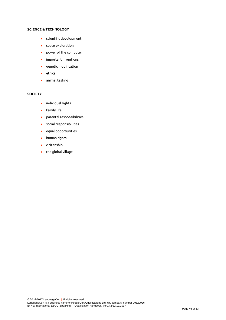## **SCIENCE & TECHNOLOGY**

- scientific development
- space exploration
- power of the computer
- important inventions
- $\bullet$  genetic modification
- $\bullet$  ethics
- animal testing

## **SOCIETY**

- individual rights
- family life
- parental responsibilities
- social responsibilities
- equal opportunities
- human rights
- citizenship
- the global village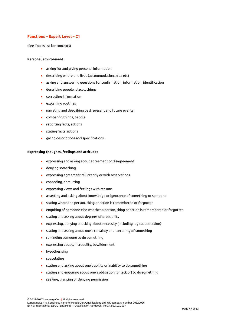# **Functions – Expert Level – C1**

(See Topics list for contexts)

#### **Personal environment**

- asking for and giving personal information
- describing where one lives (accommodation, area etc)
- asking and answering questions for confirmation, information, identification
- describing people, places, things
- correcting information
- explaining routines
- narrating and describing past, present and future events
- comparing things, people
- reporting facts, actions
- stating facts, actions
- giving descriptions and specifications.

#### **Expressing thoughts, feelings and attitudes**

- expressing and asking about agreement or disagreement
- denying something
- expressing agreement reluctantly or with reservations
- conceding, demurring
- expressing views and feelings with reasons
- asserting and asking about knowledge or ignorance of something or someone
- stating whether a person, thing or action is remembered or forgotten
- enquiring of someone else whether a person, thing or action is remembered or forgotten
- stating and asking about degrees of probability
- expressing, denying or asking about necessity (including logical deduction)
- stating and asking about one's certainty or uncertainty of something
- reminding someone to do something
- expressing doubt, incredulity, bewilderment
- hypothesising
- speculating
- stating and asking about one's ability or inability to do something
- stating and enquiring about one's obligation (or lack of) to do something
- seeking, granting or denying permission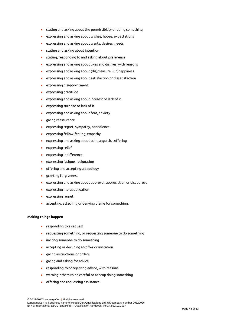- stating and asking about the permissibility of doing something
- expressing and asking about wishes, hopes, expectations
- expressing and asking about wants, desires, needs
- stating and asking about intention
- stating, responding to and asking about preference
- expressing and asking about likes and dislikes, with reasons
- expressing and asking about (dis)pleasure, (un)happiness
- expressing and asking about satisfaction or dissatisfaction
- expressing disappointment
- expressing gratitude
- expressing and asking about interest or lack of it
- expressing surprise or lack of it
- expressing and asking about fear, anxiety
- **•** giving reassurance
- expressing regret, sympathy, condolence
- expressing fellow-feeling, empathy
- expressing and asking about pain, anguish, suffering
- expressing relief
- expressing indifference
- expressing fatigue, resignation
- offering and accepting an apology
- granting forgiveness
- expressing and asking about approval, appreciation or disapproval
- expressing moral obligation
- expressing regret
- accepting, attaching or denying blame for something.

### **Making things happen**

- responding to a request
- requesting something, or requesting someone to do something
- inviting someone to do something
- accepting or declining an offer or invitation
- **•** giving instructions or orders
- giving and asking for advice
- responding to or rejecting advice, with reasons
- warning others to be careful or to stop doing something
- offering and requesting assistance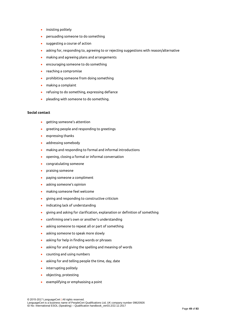- insisting politely
- persuading someone to do something
- suggesting a course of action
- asking for, responding to, agreeing to or rejecting suggestions with reason/alternative
- making and agreeing plans and arrangements
- encouraging someone to do something
- reaching a compromise
- prohibiting someone from doing something
- making a complaint
- refusing to do something, expressing defiance
- pleading with someone to do something.

## **Social contact**

- getting someone's attention
- greeting people and responding to greetings
- expressing thanks
- addressing somebody
- making and responding to formal and informal introductions
- opening, closing a formal or informal conversation
- congratulating someone
- praising someone
- paying someone a compliment
- asking someone's opinion
- making someone feel welcome
- giving and responding to constructive criticism
- indicating lack of understanding
- giving and asking for clarification, explanation or definition of something
- confirming one's own or another's understanding
- asking someone to repeat all or part of something
- asking someone to speak more slowly
- asking for help in finding words or phrases
- asking for and giving the spelling and meaning of words
- counting and using numbers
- asking for and telling people the time, day, date
- interrupting politely
- objecting, protesting
- exemplifying or emphasising a point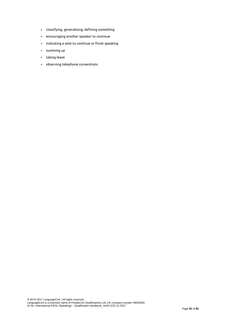- classifying, generalising, defining something
- encouraging another speaker to continue
- $\bullet$  indicating a wish to continue or finish speaking
- summing up
- taking leave
- observing telephone conventions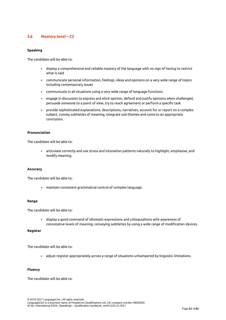# **2.6 Mastery level – C2**

## **Speaking**

The candidate will be able to:

- display a comprehensive and reliable mastery of the language with no sign of having to restrict what is said
- communicate personal information, feelings, ideas and opinions on a very wide range of topics including contemporary issues
- communicate in all situations using a very wide range of language functions
- engage in discussion to express and elicit opinion, defend and justify opinions when challenged, persuade someone to a point of view, try to reach agreement or perform a specific task
- provide sophisticated explanations, descriptions, narratives, account for or report on a complex subject, convey subtleties of meaning, integrate sub-themes and come to an appropriate conclusion.

## **Pronunciation**

The candidate will be able to:

 articulate correctly and use stress and intonation patterns naturally to highlight, emphasise, and modify meaning.

#### **Accuracy**

The candidate will be able to:

maintain consistent grammatical control of complex language.

### **Range**

The candidate will be able to:

 display a good command of idiomatic expressions and colloquialisms with awareness of connotative levels of meaning, conveying subtleties by using a wide range of modification devices.

## **Register**

The candidate will be able to:

• adjust register appropriately across a range of situations unhampered by linguistic limitations.

#### **Fluency**

The candidate will be able to: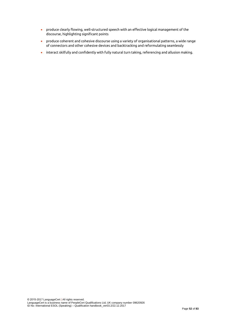- produce clearly flowing, well-structured speech with an effective logical management of the discourse, highlighting significant points
- produce coherent and cohesive discourse using a variety of organisational patterns, a wide range of connectors and other cohesive devices and backtracking and reformulating seamlessly
- interact skilfully and confidently with fully natural turn taking, referencing and allusion making.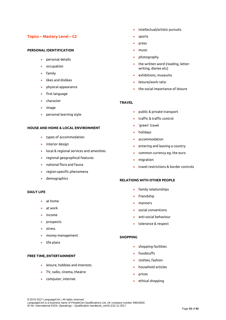# **Topics – Mastery Level – C2**

### **PERSONAL IDENTIFICATION**

- personal details
- occupation
- **•** family
- **•** likes and dislikes
- physical appearance
- **•** first language
- character
- image
- personal learning style

#### **HOUSE AND HOME & LOCAL ENVIRONMENT**

- types of accommodation
- **•** interior design
- local & regional services and amenities
- regional geographical features
- national flora and fauna
- region-specific phenomena
- demographics

#### **DAILY LIFE**

- at home
- at work
- income
- prospects
- **·** stress
- money management
- life plans

### **FREE TIME, ENTERTAINMENT**

- leisure, hobbies and interests
- TV, radio, cinema, theatre
- computer, internet
- intellectual/artistic pursuits
- sports
- press
- music
- photography
- the written word (reading, letterwriting, diaries etc)
- exhibitions, museums
- leisure/work ratio
- the social importance of leisure

#### **TRAVEL**

- public & private transport
- traffic & traffic control
- 'green' travel
- holidays
- accommodation
- entering and leaving a country
- common currency eg. the euro
- migration
- travel restrictions & border controls

### **RELATIONS WITH OTHER PEOPLE**

- family relationships
- **•** friendship
- manners
- social conventions
- anti-social behaviour
- tolerance & respect

## **SHOPPING**

- **•** shopping facilities
- **foodstuffs**
- clothes, fashion
- household articles
- prices
- ethical shopping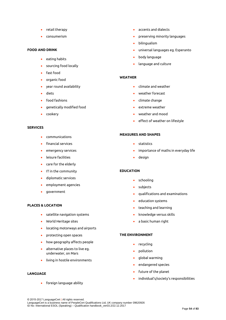- retail therapy
- consumerism

# **FOOD AND DRINK**

- **•** eating habits
- sourcing food locally
- fast food
- organic food
- year round availability
- diets
- **•** food fashions
- genetically modified food
- cookery

## **SERVICES**

- communications
- **•** financial services
- **emergency services**
- **·** leisure facilities
- care for the elderly
- IT in the community
- diplomatic services
- employment agencies
- government

## **PLACES & LOCATION**

- satellite navigation systems
- World Heritage sites
- locating motorways and airports
- protecting open spaces
- how geography affects people
- alternative places to live eg. underwater, on Mars
- living in hostile environments

# **LANGUAGE**

foreign language ability

- accents and dialects
- preserving minority languages
- bilingualism
- universal languages eg. Esperanto
- body language
- language and culture

# **WEATHER**

- climate and weather
- weather forecast
- climate change
- extreme weather
- weather and mood
- **•** effect of weather on lifestyle

### **MEASURES AND SHAPES**

- statistics
- importance of maths in everyday life
- design

### **EDUCATION**

- schooling
- subjects
- qualifications and examinations
- education systems
- teaching and learning
- knowledge versus skills
- a basic human right

## **THE ENVIRONMENT**

- recycling
- pollution
- global warming
- endangered species
- future of the planet
- individual's/society's responsibilities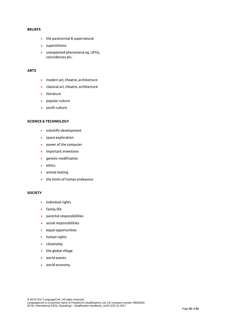# **BELIEFS**

- the paranormal & supernatural
- superstitions
- unexplained phenomena eg. UFOs, coincidences etc.

## **ARTS**

- modern art, theatre, architecture
- classical art, theatre, architecture
- **·** literature
- popular culture
- vouth culture

## **SCIENCE & TECHNOLOGY**

- scientific development
- **•** space exploration
- power of the computer
- important inventions
- $\bullet$  genetic modification
- $e$  ethics
- animal testing
- the limits of human endeavour

### **SOCIETY**

- individual rights
- **•** family life
- parental responsibilities
- social responsibilities
- equal opportunities
- human rights
- citizenship
- the global village
- world events
- world economy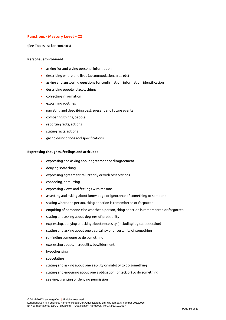# **Functions - Mastery Level – C2**

(See Topics list for contexts)

#### **Personal environment**

- asking for and giving personal information
- describing where one lives (accommodation, area etc)
- asking and answering questions for confirmation, information, identification
- describing people, places, things
- correcting information
- explaining routines
- narrating and describing past, present and future events
- comparing things, people
- reporting facts, actions
- stating facts, actions
- giving descriptions and specifications.

#### **Expressing thoughts, feelings and attitudes**

- expressing and asking about agreement or disagreement
- denying something
- expressing agreement reluctantly or with reservations
- conceding, demurring
- expressing views and feelings with reasons
- asserting and asking about knowledge or ignorance of something or someone
- stating whether a person, thing or action is remembered or forgotten
- enquiring of someone else whether a person, thing or action is remembered or forgotten
- stating and asking about degrees of probability
- expressing, denying or asking about necessity (including logical deduction)
- stating and asking about one's certainty or uncertainty of something
- reminding someone to do something
- expressing doubt, incredulity, bewilderment
- hypothesising
- **•** speculating
- stating and asking about one's ability or inability to do something
- stating and enquiring about one's obligation (or lack of) to do something
- seeking, granting or denying permission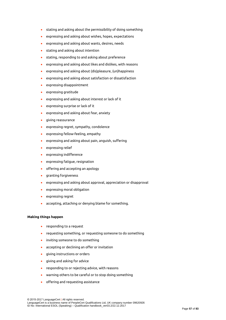- stating and asking about the permissibility of doing something
- expressing and asking about wishes, hopes, expectations
- expressing and asking about wants, desires, needs
- stating and asking about intention
- stating, responding to and asking about preference
- expressing and asking about likes and dislikes, with reasons
- expressing and asking about (dis)pleasure, (un)happiness
- expressing and asking about satisfaction or dissatisfaction
- expressing disappointment
- expressing gratitude
- expressing and asking about interest or lack of it
- expressing surprise or lack of it
- expressing and asking about fear, anxiety
- **•** giving reassurance
- expressing regret, sympathy, condolence
- expressing fellow-feeling, empathy
- expressing and asking about pain, anguish, suffering
- expressing relief
- expressing indifference
- expressing fatigue, resignation
- offering and accepting an apology
- granting forgiveness
- expressing and asking about approval, appreciation or disapproval
- expressing moral obligation
- expressing regret
- accepting, attaching or denying blame for something.

### **Making things happen**

- responding to a request
- requesting something, or requesting someone to do something
- inviting someone to do something
- accepting or declining an offer or invitation
- **•** giving instructions or orders
- giving and asking for advice
- responding to or rejecting advice, with reasons
- warning others to be careful or to stop doing something
- offering and requesting assistance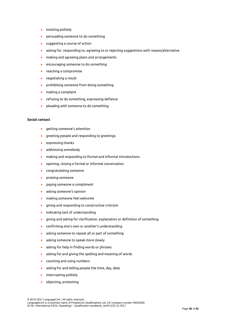- **•** insisting politely
- persuading someone to do something
- suggesting a course of action
- asking for, responding to, agreeing to or rejecting suggestions with reason/alternative
- making and agreeing plans and arrangements
- encouraging someone to do something
- reaching a compromise
- negotiating a result
- prohibiting someone from doing something
- making a complaint
- refusing to do something, expressing defiance
- pleading with someone to do something.

### **Social contact**

- getting someone's attention
- greeting people and responding to greetings
- **•** expressing thanks
- addressing somebody
- making and responding to formal and informal introductions
- opening, closing a formal or informal conversation
- congratulating someone
- praising someone
- paying someone a compliment
- asking someone's opinion
- making someone feel welcome
- giving and responding to constructive criticism
- indicating lack of understanding
- giving and asking for clarification, explanation or definition of something
- confirming one's own or another's understanding
- asking someone to repeat all or part of something
- asking someone to speak more slowly
- asking for help in finding words or phrases
- asking for and giving the spelling and meaning of words
- counting and using numbers
- asking for and telling people the time, day, date
- interrupting politely
- objecting, protesting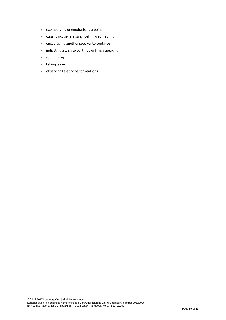- exemplifying or emphasising a point
- classifying, generalising, defining something
- encouraging another speaker to continue
- $\bullet$  indicating a wish to continue or finish speaking
- summing up
- $\bullet$  taking leave
- observing telephone conventions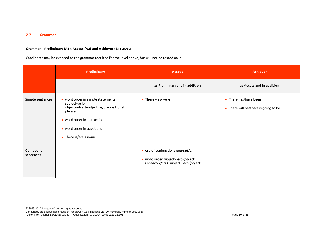## **2.7 Grammar**

## **Grammar – Preliminary (A1), Access (A2) and Achiever (B1) levels**

Candidates may be exposed to the grammar required for the level above, but will not be tested on it.

|                       | <b>Preliminary</b>                                                                                                                                                                             | <b>Access</b>                                                                                                      | <b>Achiever</b>                                               |
|-----------------------|------------------------------------------------------------------------------------------------------------------------------------------------------------------------------------------------|--------------------------------------------------------------------------------------------------------------------|---------------------------------------------------------------|
|                       |                                                                                                                                                                                                | as Preliminary and in addition                                                                                     | as Access and in addition                                     |
| Simple sentences      | • word order in simple statements:<br>subject-verb-<br>object/adverb/adjective/prepositional<br>phrase<br>• word order in instructions<br>• word order in questions<br>• There is/are $+$ noun | • There was/were                                                                                                   | • There has/have been<br>• There will be/there is going to be |
| Compound<br>sentences |                                                                                                                                                                                                | • use of conjunctions and/but/or<br>• word order subject-verb-(object)<br>$(+$ and/but/or) + subject-verb-(object) |                                                               |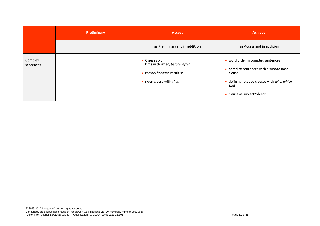|                      | <b>Preliminary</b> | <b>Access</b>                                                                                            | <b>Achiever</b>                                                                                                                                                           |
|----------------------|--------------------|----------------------------------------------------------------------------------------------------------|---------------------------------------------------------------------------------------------------------------------------------------------------------------------------|
|                      |                    | as Preliminary and in addition                                                                           | as Access and in addition                                                                                                                                                 |
| Complex<br>sentences |                    | • Clauses of:<br>time with when, before, after<br>• reason because, result so<br>• noun clause with that | • word order in complex sentences<br>• complex sentences with a subordinate<br>clause<br>defining relative clauses with who, which,<br>that<br>• clause as subject/object |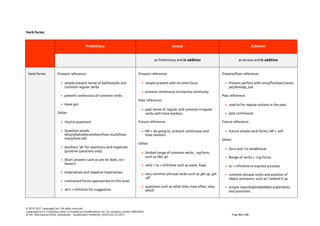# **Verb forms**

|            | <b>Preliminary</b>                                                                                                     | <b>Access</b>                                                                                                                                        | <b>Achiever</b>                                                                                                                   |
|------------|------------------------------------------------------------------------------------------------------------------------|------------------------------------------------------------------------------------------------------------------------------------------------------|-----------------------------------------------------------------------------------------------------------------------------------|
|            |                                                                                                                        | as Preliminary and in addition                                                                                                                       | as Access and in addition                                                                                                         |
| Verb forms | Present reference:                                                                                                     | Present reference:                                                                                                                                   | Present/Past reference:                                                                                                           |
|            | • simple present tense of be/have/do and<br>common regular verbs<br>• present continuous of common verbs<br>• Have got | • simple present with no time focus<br>• present continuous to express continuity<br>Past reference:<br>• past tense of regular and common irregular | • Present perfect with since/for/ever/never,<br>yet/already, just<br>Past reference:<br>• used to for regular actions in the past |
|            | Other:<br>• Yes/no questions                                                                                           | verbs with time markers<br>Future reference:                                                                                                         | • past continuous<br>Future reference:                                                                                            |
|            | • Question words:<br>who/what/where/when/how much/how<br>many/how old                                                  | • NP + be going to, present continuous and<br>time markers<br>Other:                                                                                 | • Future simple verb forms, $NP + will$<br>Other:                                                                                 |
|            | • Auxiliary 'do' for questions and negatives<br>(positive questions only)<br>• Short answers such as yes he does, no I | · limited range of common verbs, -ing form,<br>such as like, go                                                                                      | • Zero and 1st conditional<br>• Range of verbs $+$ -ing forms                                                                     |
|            | haven't<br>• imperatives and negative imperatives<br>• contracted forms appropriate to this level                      | • verb + to + infinitive such as want, hope<br>• very common phrasal verbs such as get up, get<br>off                                                | $\bullet$ to + infinitive to express purpose<br>• common phrasal verbs and position of<br>object pronouns, such as I looked it up |
|            | • $let's + infinite for suggestion$                                                                                    | • questions such as what time, how often, why,<br>which                                                                                              | · simple reported/embedded statements<br>and questions                                                                            |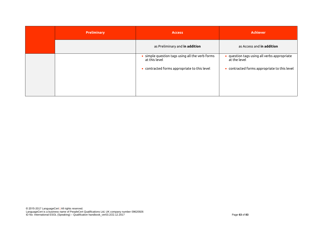| <b>Preliminary</b> | <b>Access</b>                                                    | <b>Achiever</b>                                             |
|--------------------|------------------------------------------------------------------|-------------------------------------------------------------|
|                    | as Preliminary and in addition                                   | as Access and <b>in addition</b>                            |
|                    | • simple question tags using all the verb forms<br>at this level | • question tags using all verbs appropriate<br>at the level |
|                    | • contracted forms appropriate to this level                     | • contracted forms appropriate to this level                |
|                    |                                                                  |                                                             |
|                    |                                                                  |                                                             |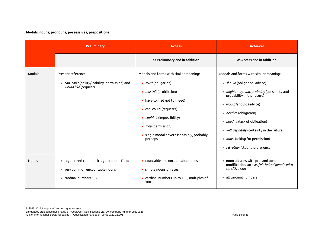### **Modals, nouns, pronouns, possessives, prepositions**

|              | <b>Preliminary</b>                                                                                        | Access                                                                                                                                                                                                                                                            | <b>Achiever</b>                                                                                                                                                                                                                                                                                                                                                             |
|--------------|-----------------------------------------------------------------------------------------------------------|-------------------------------------------------------------------------------------------------------------------------------------------------------------------------------------------------------------------------------------------------------------------|-----------------------------------------------------------------------------------------------------------------------------------------------------------------------------------------------------------------------------------------------------------------------------------------------------------------------------------------------------------------------------|
|              |                                                                                                           | as Preliminary and in addition                                                                                                                                                                                                                                    | as Access and in addition                                                                                                                                                                                                                                                                                                                                                   |
| Modals       | Present reference:<br>• can, can't (ability/inability, permission) and<br>would like (request)            | Modals and forms with similar meaning:<br>• must (obligation)<br>• mustn't (prohibition)<br>• have to, had got to (need)<br>• can, could (requests)<br>• couldn't (impossibility)<br>• may (permission)<br>• single modal adverbs: possibly, probably,<br>perhaps | Modals and forms with similar meaning:<br>• should (obligation, advice)<br>· might, may, will, probably (possibility and<br>probability in the future)<br>• would/should (advice)<br>• <i>need to</i> (obligation)<br>• needn't (lack of obligation)<br>• will definitely (certainty in the future)<br>• may / (asking for permission)<br>· I'd rather (stating preference) |
| <b>Nouns</b> | • regular and common irregular plural forms<br>• very common uncountable nouns<br>• cardinal numbers 1-31 | • countable and uncountable nouns<br>• simple nouns phrases<br>• cardinal numbers up to 100, multiples of<br>100                                                                                                                                                  | • noun phrases with pre- and post-<br>modification such as fair-haired people with<br>sensitive skin<br>• all cardinal numbers                                                                                                                                                                                                                                              |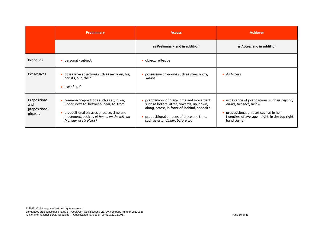|                                                 | <b>Preliminary</b>                                                                                                                                                                                               | <b>Access</b>                                                                                                                                                                                                              | <b>Achiever</b>                                                                                                                                                                        |
|-------------------------------------------------|------------------------------------------------------------------------------------------------------------------------------------------------------------------------------------------------------------------|----------------------------------------------------------------------------------------------------------------------------------------------------------------------------------------------------------------------------|----------------------------------------------------------------------------------------------------------------------------------------------------------------------------------------|
|                                                 |                                                                                                                                                                                                                  | as Preliminary and <b>in addition</b>                                                                                                                                                                                      | as Access and <b>in addition</b>                                                                                                                                                       |
| Pronouns                                        | • personal - subject                                                                                                                                                                                             | • object, reflexive                                                                                                                                                                                                        |                                                                                                                                                                                        |
| <b>Possessives</b>                              | possessive adjectives such as my, your, his,<br>her, its, our, their<br>$\bullet$ use of 's, s'                                                                                                                  | • possessive pronouns such as <i>mine</i> , yours,<br>whose                                                                                                                                                                | • As Access                                                                                                                                                                            |
| Prepositions<br>and<br>prepositional<br>phrases | $\bullet$ common prepositions such as at, in, on,<br>under, next to, between, near, to, from<br>prepositional phrases of place, time and<br>movement, such as at home, on the left, on<br>Monday, at six o'clock | • prepositions of place, time and movement,<br>such as before, after, towards, up, down,<br>along, across, in front of, behind, opposite<br>• prepositional phrases of place and time,<br>such as after dinner, before tea | • wide range of prepositions, such as <i>beyond</i> ,<br>above, beneath, below<br>prepositional phrases such as in her<br>twenties, of average height, in the top right<br>hand corner |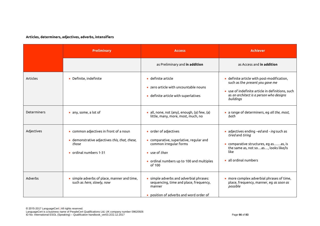## **Articles, determiners, adjectives, adverbs, intensifiers**

|                 | <b>Preliminary</b>                                                                                                         | <b>Access</b>                                                                                                                                                      | <b>Achiever</b>                                                                                                                                                                           |
|-----------------|----------------------------------------------------------------------------------------------------------------------------|--------------------------------------------------------------------------------------------------------------------------------------------------------------------|-------------------------------------------------------------------------------------------------------------------------------------------------------------------------------------------|
|                 |                                                                                                                            | as Preliminary and in addition                                                                                                                                     | as Access and in addition                                                                                                                                                                 |
| <b>Articles</b> | • Definite, indefinite                                                                                                     | · definite article<br>• zero article with uncountable nouns<br>• definite article with superlatives                                                                | · definite article with post-modification,<br>such as the present you gave me<br>• use of indefinite article in definitions, such<br>as an architect is a person who designs<br>buildings |
| Determiners     | • any, some, a lot of                                                                                                      | · all, none, not (any), enough, (a) few, (a)<br>little, many, more, most, much, no                                                                                 | · a range of determiners, eg all the, most,<br>both                                                                                                                                       |
| Adjectives      | • common adjectives in front of a noun<br>· demonstrative adjectives this, that, these,<br>those<br>• ordinal numbers 1-31 | • order of adjectives<br>• comparative, superlative, regular and<br>common irregular forms<br>• use of than<br>• ordinal numbers up to 100 and multiples<br>of 100 | • adjectives ending $-ed$ and - ing such as<br>tired and tiring<br>• comparative structures, eg asas, is<br>the same as, not soas, looks like/is<br>like<br>• all ordinal numbers         |
| Adverbs         | • simple adverbs of place, manner and time,<br>such as here, slowly, now                                                   | • simple adverbs and adverbial phrases:<br>sequencing, time and place, frequency,<br>manner<br>• position of adverbs and word order of                             | • more complex adverbial phrases of time,<br>place, frequency, manner, eg as soon as<br>possible                                                                                          |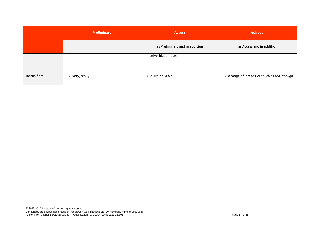|              | <b>Preliminary</b> | <b>Access</b>                  | <b>Achiever</b>                               |
|--------------|--------------------|--------------------------------|-----------------------------------------------|
|              |                    | as Preliminary and in addition | as Access and in addition                     |
|              |                    | adverbial phrases              |                                               |
| Intensifiers | • very, really     | · quite, so, a bit             | · a range of intensifiers such as too, enough |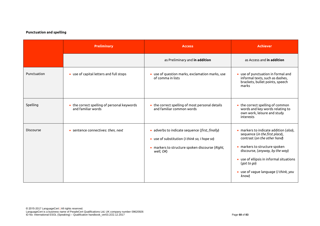# **Punctuation and spelling**

|             | <b>Preliminary</b>                                                | <b>Access</b>                                                                                                                                                    | <b>Achiever</b>                                                                                                                                                                                                                                                                           |
|-------------|-------------------------------------------------------------------|------------------------------------------------------------------------------------------------------------------------------------------------------------------|-------------------------------------------------------------------------------------------------------------------------------------------------------------------------------------------------------------------------------------------------------------------------------------------|
|             |                                                                   | as Preliminary and in addition                                                                                                                                   | as Access and in addition                                                                                                                                                                                                                                                                 |
| Punctuation | • use of capital letters and full stops                           | • use of question marks, exclamation marks, use<br>of comma in lists                                                                                             | • use of punctuation in formal and<br>informal texts, such as dashes,<br>brackets, bullet points, speech<br>marks                                                                                                                                                                         |
| Spelling    | • the correct spelling of personal keywords<br>and familiar words | • the correct spelling of most personal details<br>and familiar common words                                                                                     | • the correct spelling of common<br>words and key words relating to<br>own work, leisure and study<br>interests                                                                                                                                                                           |
| Discourse   | • sentence connectives: then, next                                | · adverbs to indicate sequence (first, finally)<br>• use of substitution (I think so, I hope so)<br>· markers to structure spoken discourse (Right,<br>well, OK) | • markers to indicate addition (also),<br>sequence (in the first place),<br>contrast (on the other hand)<br>· markers to structure spoken<br>discourse, (anyway, by the way)<br>• use of ellipsis in informal situations<br>(got to go)<br>• use of vague language (I think, you<br>know) |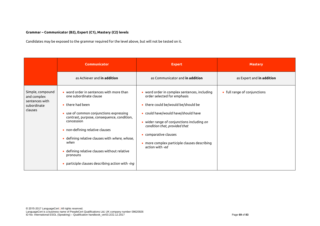# **Grammar – Communicator (B2), Expert (C1), Mastery (C2) levels**

Candidates may be exposed to the grammar required for the level above, but will not be tested on it.

|                                                                             | <b>Communicator</b>                                                                                                                                                                                                                                                                                                                                                                                                        | <b>Expert</b>                                                                                                                                                                                                                                                                                                                        | <b>Mastery</b>               |
|-----------------------------------------------------------------------------|----------------------------------------------------------------------------------------------------------------------------------------------------------------------------------------------------------------------------------------------------------------------------------------------------------------------------------------------------------------------------------------------------------------------------|--------------------------------------------------------------------------------------------------------------------------------------------------------------------------------------------------------------------------------------------------------------------------------------------------------------------------------------|------------------------------|
|                                                                             | as Achiever and <b>in addition</b>                                                                                                                                                                                                                                                                                                                                                                                         | as Communicator and <b>in addition</b>                                                                                                                                                                                                                                                                                               | as Expert and in addition    |
| Simple, compound<br>and complex<br>sentences with<br>subordinate<br>clauses | • word order in sentences with more than<br>one subordinate clause<br>$\bullet$ there had been<br>• use of common conjunctions expressing<br>contrast, purpose, consequence, condition,<br>concession<br>• non-defining relative clauses<br>· defining relative clauses with where, whose,<br>when<br>· defining relative clauses without relative<br>pronouns<br>$\bullet$ participle clauses describing action with -ing | • word order in complex sentences, including<br>order selected for emphasis<br>• there could be/would be/should be<br>• could have/would have/should have<br>• wider range of conjunctions including on<br>condition that, provided that<br>• comparative clauses<br>• more complex participle clauses describing<br>action with -ed | • full range of conjunctions |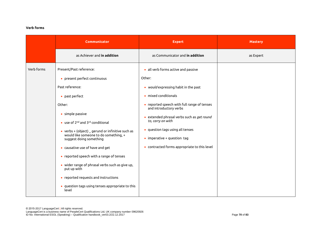# **Verb forms**

|            | <b>Communicator</b>                                                                                                                                                                                                                                                                                                                                                                                                                                                                                                                                                                  | <b>Expert</b>                                                                                                                                                                                                                                                                                                                                                                        | <b>Mastery</b> |
|------------|--------------------------------------------------------------------------------------------------------------------------------------------------------------------------------------------------------------------------------------------------------------------------------------------------------------------------------------------------------------------------------------------------------------------------------------------------------------------------------------------------------------------------------------------------------------------------------------|--------------------------------------------------------------------------------------------------------------------------------------------------------------------------------------------------------------------------------------------------------------------------------------------------------------------------------------------------------------------------------------|----------------|
|            | as Achiever and in addition                                                                                                                                                                                                                                                                                                                                                                                                                                                                                                                                                          | as Communicator and in addition                                                                                                                                                                                                                                                                                                                                                      | as Expert      |
| Verb forms | Present/Past reference:<br>• present perfect continuous<br>Past reference:<br>• past perfect<br>Other:<br>• simple passive<br>$\bullet$ use of 2 <sup>nd</sup> and 3 <sup>rd</sup> conditional<br>• verbs + (object) $\angle$ gerund or infinitive such as<br>would like someone to do something, +<br>suggest doing something<br>• causative use of have and get<br>• reported speech with a range of tenses<br>• wider range of phrasal verbs such as give up,<br>put up with<br>• reported requests and instructions<br>• question tags using tenses appropriate to this<br>level | • all verb forms active and passive<br>Other:<br>• would expressing habit in the past<br>· mixed conditionals<br>• reported speech with full range of tenses<br>and introductory verbs<br>• extended phrasal verbs such as get round<br>to, carry on with<br>• question tags using all tenses<br>$\bullet$ imperative + question tag<br>• contracted forms appropriate to this level |                |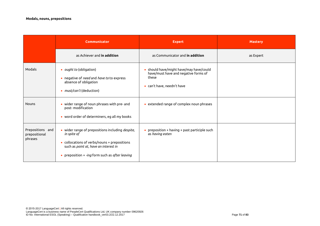|                                              | <b>Communicator</b>                                                                                                                                                                                       | <b>Expert</b>                                                                                                                   | <b>Mastery</b> |
|----------------------------------------------|-----------------------------------------------------------------------------------------------------------------------------------------------------------------------------------------------------------|---------------------------------------------------------------------------------------------------------------------------------|----------------|
|                                              | as Achiever and in addition                                                                                                                                                                               | as Communicator and in addition                                                                                                 | as Expert      |
| Modals                                       | • ought to (obligation)<br>• negative of need and have to to express<br>absence of obligation<br>• must/can't (deduction)                                                                                 | should have/might have/may have/could<br>have/must have and negative forms of<br>these<br>can't have, needn't have<br>$\bullet$ |                |
| <b>Nouns</b>                                 | wider range of noun phrases with pre- and<br>post-modification<br>• word order of determiners, eg all my books                                                                                            | extended range of complex noun phrases<br>$\bullet$                                                                             |                |
| Prepositions and<br>prepositional<br>phrases | · wider range of prepositions including despite,<br>in spite of<br>collocations of verbs/nouns + prepositions<br>such as point at, have an interest in<br>• preposition + -ing form such as after leaving | preposition + having + past participle such<br>$\bullet$<br>as having eaten                                                     |                |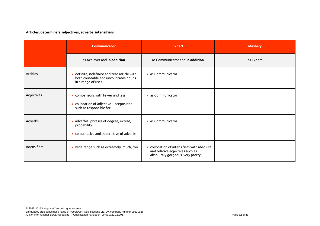## **Articles, determiners, adjectives, adverbs, intensifiers**

|                 | <b>Communicator</b>                                                                                                   | <b>Expert</b>                                                                                                      | <b>Mastery</b> |
|-----------------|-----------------------------------------------------------------------------------------------------------------------|--------------------------------------------------------------------------------------------------------------------|----------------|
|                 | as Achiever and in addition                                                                                           | as Communicator and in addition                                                                                    | as Expert      |
| <b>Articles</b> | definite, indefinite and zero article with<br>$\bullet$<br>both countable and uncountable nouns<br>in a range of uses | • as Communicator                                                                                                  |                |
| Adjectives      | • comparisons with fewer and less<br>$\bullet$ collocation of adjective + preposition<br>such as responsible for      | • as Communicator                                                                                                  |                |
| <b>Adverbs</b>  | adverbial phrases of degree, extent,<br>٠<br>probability<br>• comparative and superlative of adverbs                  | $\bullet$ as Communicator                                                                                          |                |
| Intensifiers    | • wide range such as extremely, much, too                                                                             | • collocation of intensifiers with absolute<br>and relative adjectives such as<br>absolutely gorgeous, very pretty |                |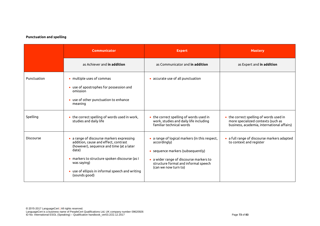### **Punctuation and spelling**

|                  | <b>Communicator</b>                                                                                                                                                                                                                                                         | <b>Expert</b>                                                                                                                                                                                                  | <b>Mastery</b>                                                                                                              |
|------------------|-----------------------------------------------------------------------------------------------------------------------------------------------------------------------------------------------------------------------------------------------------------------------------|----------------------------------------------------------------------------------------------------------------------------------------------------------------------------------------------------------------|-----------------------------------------------------------------------------------------------------------------------------|
|                  | as Achiever and in addition                                                                                                                                                                                                                                                 | as Communicator and <b>in addition</b>                                                                                                                                                                         | as Expert and in addition                                                                                                   |
| Punctuation      | • multiple uses of commas<br>• use of apostrophes for possession and<br>omission<br>• use of other punctuation to enhance<br>meaning                                                                                                                                        | • accurate use of all punctuation                                                                                                                                                                              |                                                                                                                             |
| Spelling         | • the correct spelling of words used in work,<br>studies and daily life                                                                                                                                                                                                     | • the correct spelling of words used in<br>work, studies and daily life including<br>familiar technical words                                                                                                  | • the correct spelling of words used in<br>more specialized contexts (such as<br>business, academia, international affairs) |
| <b>Discourse</b> | • a range of discourse markers expressing<br>addition, cause and effect, contrast<br>(however), sequence and time (at a later<br>date)<br>· markers to structure spoken discourse (as I<br>was saying)<br>• use of ellipsis in informal speech and writing<br>(sounds good) | • a range of logical markers (in this respect,<br>accordingly)<br>• sequence markers (subsequently)<br>• a wider range of discourse markers to<br>structure formal and informal speech<br>(can we now turn to) | • a full range of discourse markers adapted<br>to context and register                                                      |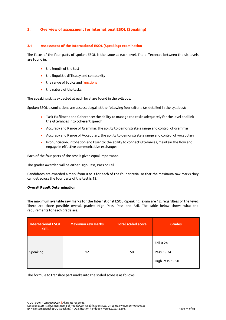## **3. Overview of assessment for International ESOL (Speaking)**

### **3.1 Assessment of the International ESOL (Speaking) examination**

The focus of the four parts of spoken ESOL is the same at each level. The differences between the six levels are found in:

- the length of the test
- the linguistic difficulty and complexity
- the range of topics and functions
- the nature of the tasks.

The speaking skills expected at each level are found in the syllabus.

Spoken ESOL examinations are assessed against the following four criteria (as detailed in the syllabus):

- Task Fulfilment and Coherence: the ability to manage the tasks adequately for the level and link the utterances into coherent speech
- Accuracy and Range of Grammar: the ability to demonstrate a range and control of grammar
- Accuracy and Range of Vocabulary: the ability to demonstrate a range and control of vocabulary
- Pronunciation, Intonation and Fluency: the ability to connect utterances, maintain the flow and engage in effective communicative exchanges

Each of the four parts of the test is given equal importance.

The grades awarded will be either High Pass, Pass or Fail.

Candidates are awarded a mark from 0 to 3 for each of the four criteria, so that the maximum raw marks they can get across the four parts of the test is 12.

## **Overall Result Determination**

The maximum available raw marks for the International ESOL (Speaking) exam are 12, regardless of the level. There are three possible overall grades: High Pass, Pass and Fail. The table below shows what the requirements for each grade are.

| <b>International ESOL</b><br>skill | <b>Maximum raw marks</b> | <b>Total scaled score</b> | <b>Grades</b>                              |
|------------------------------------|--------------------------|---------------------------|--------------------------------------------|
| Speaking                           | 12                       | 50                        | Fail 0-24<br>Pass 25-34<br>High Pass 35-50 |

The formula to translate part marks into the scaled score is as follows: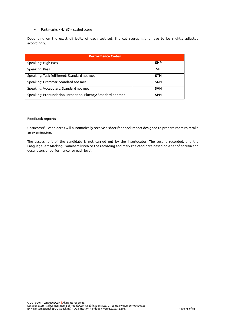• Part marks  $\times$  4.167 = scaled score

Depending on the exact difficulty of each test set, the cut scores might have to be slightly adjusted accordingly.

| <b>Performance Codes</b>                                       |            |  |
|----------------------------------------------------------------|------------|--|
| Speaking: High Pass                                            | <b>SHP</b> |  |
| Speaking: Pass                                                 | <b>SP</b>  |  |
| Speaking: Task fulfilment: Standard not met                    | <b>STN</b> |  |
| Speaking: Grammar: Standard not met                            | <b>SGN</b> |  |
| Speaking: Vocabulary: Standard not met                         | <b>SVN</b> |  |
| Speaking: Pronunciation, Intonation, Fluency: Standard not met | <b>SPN</b> |  |

## **Feedback reports**

Unsuccessful candidates will automatically receive a short feedback report designed to prepare them to retake an examination.

The assessment of the candidate is not carried out by the Interlocutor. The test is recorded, and the LanguageCert Marking Examiners listen to the recording and mark the candidate based on a set of criteria and descriptors of performance for each level.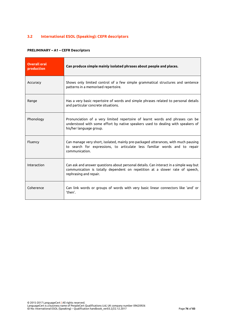# **3.2 International ESOL (Speaking): CEFR descriptors**

## **PRELIMINARY – A1 – CEFR Descriptors**

| <b>Overall oral</b><br>production | Can produce simple mainly isolated phrases about people and places.                                                                                                                             |
|-----------------------------------|-------------------------------------------------------------------------------------------------------------------------------------------------------------------------------------------------|
| Accuracy                          | Shows only limited control of a few simple grammatical structures and sentence<br>patterns in a memorised repertoire.                                                                           |
| Range                             | Has a very basic repertoire of words and simple phrases related to personal details<br>and particular concrete situations.                                                                      |
| Phonology                         | Pronunciation of a very limited repertoire of learnt words and phrases can be<br>understood with some effort by native speakers used to dealing with speakers of<br>his/her language group.     |
| Fluency                           | Can manage very short, isolated, mainly pre-packaged utterances, with much pausing<br>to search for expressions, to articulate less familiar words and to repair<br>communication.              |
| Interaction                       | Can ask and answer questions about personal details. Can interact in a simple way but<br>communication is totally dependent on repetition at a slower rate of speech,<br>rephrasing and repair. |
| Coherence                         | Can link words or groups of words with very basic linear connectors like 'and' or<br>'then'.                                                                                                    |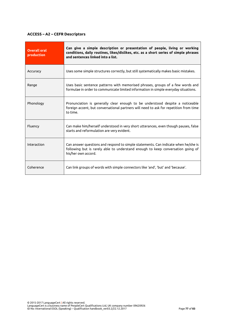# **ACCESS – A2 – CEFR Descriptors**

| <b>Overall oral</b><br>production | Can give a simple description or presentation of people, living or working<br>conditions, daily routines, likes/dislikes, etc. as a short series of simple phrases<br>and sentences linked into a list. |
|-----------------------------------|---------------------------------------------------------------------------------------------------------------------------------------------------------------------------------------------------------|
| Accuracy                          | Uses some simple structures correctly, but still systematically makes basic mistakes.                                                                                                                   |
| Range                             | Uses basic sentence patterns with memorised phrases, groups of a few words and<br>formulae in order to communicate limited information in simple everyday situations.                                   |
| Phonology                         | Pronunciation is generally clear enough to be understood despite a noticeable<br>foreign accent, but conversational partners will need to ask for repetition from time<br>to time.                      |
| Fluency                           | Can make him/herself understood in very short utterances, even though pauses, false<br>starts and reformulation are very evident.                                                                       |
| Interaction                       | Can answer questions and respond to simple statements. Can indicate when he/she is<br>following but is rarely able to understand enough to keep conversation going of<br>his/her own accord.            |
| Coherence                         | Can link groups of words with simple connectors like 'and', 'but' and 'because'.                                                                                                                        |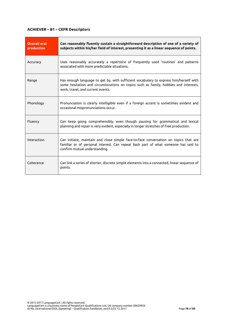# **ACHIEVER – B1 – CEFR Descriptors**

| <b>Overall oral</b><br>production | Can reasonably fluently sustain a straightforward description of one of a variety of<br>subjects within his/her field of interest, presenting it as a linear sequence of points.                                   |
|-----------------------------------|--------------------------------------------------------------------------------------------------------------------------------------------------------------------------------------------------------------------|
| Accuracy                          | Uses reasonably accurately a repertoire of frequently used 'routines' and patterns<br>associated with more predictable situations.                                                                                 |
| Range                             | Has enough language to get by, with sufficient vocabulary to express him/herself with<br>some hesitation and circumlocutions on topics such as family, hobbies and interests,<br>work, travel, and current events. |
| Phonology                         | Pronunciation is clearly intelligible even if a foreign accent is sometimes evident and<br>occasional mispronunciations occur.                                                                                     |
| Fluency                           | Can keep going comprehensibly, even though pausing for grammatical and lexical<br>planning and repair is very evident, especially in longer stretches of free production.                                          |
| Interaction                       | Can initiate, maintain and close simple face-to-face conversation on topics that are<br>familiar or of personal interest. Can repeat back part of what someone has said to<br>confirm mutual understanding.        |
| Coherence                         | Can link a series of shorter, discrete simple elements into a connected, linear sequence of<br>points.                                                                                                             |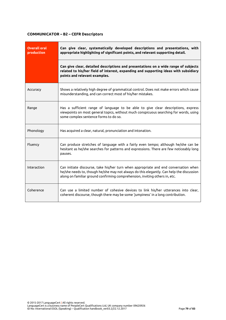## **COMMUNICATOR – B2 – CEFR Descriptors**

| <b>Overall oral</b><br>production | Can give clear, systematically developed descriptions and presentations, with<br>appropriate highlighting of significant points, and relevant supporting detail.                                                                                                |  |
|-----------------------------------|-----------------------------------------------------------------------------------------------------------------------------------------------------------------------------------------------------------------------------------------------------------------|--|
|                                   | Can give clear, detailed descriptions and presentations on a wide range of subjects<br>related to his/her field of interest, expanding and supporting ideas with subsidiary<br>points and relevant examples.                                                    |  |
| Accuracy                          | Shows a relatively high degree of grammatical control. Does not make errors which cause<br>misunderstanding, and can correct most of his/her mistakes.                                                                                                          |  |
| Range                             | Has a sufficient range of language to be able to give clear descriptions, express<br>viewpoints on most general topics, without much conspicuous searching for words, using<br>some complex sentence forms to do so.                                            |  |
| Phonology                         | Has acquired a clear, natural, pronunciation and intonation.                                                                                                                                                                                                    |  |
| Fluency                           | Can produce stretches of language with a fairly even tempo; although he/she can be<br>hesitant as he/she searches for patterns and expressions. There are few noticeably long<br>pauses.                                                                        |  |
| Interaction                       | Can initiate discourse, take his/her turn when appropriate and end conversation when<br>he/she needs to, though he/she may not always do this elegantly. Can help the discussion<br>along on familiar ground confirming comprehension, inviting others in, etc. |  |
| Coherence                         | Can use a limited number of cohesive devices to link his/her utterances into clear,<br>coherent discourse, though there may be some 'jumpiness' in a long contribution.                                                                                         |  |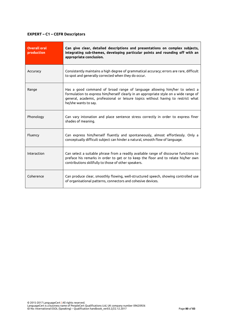# **EXPERT – C1 – CEFR Descriptors**

| <b>Overall oral</b><br>production | Can give clear, detailed descriptions and presentations on complex subjects,<br>integrating sub-themes, developing particular points and rounding off with an<br>appropriate conclusion.                                                                                         |
|-----------------------------------|----------------------------------------------------------------------------------------------------------------------------------------------------------------------------------------------------------------------------------------------------------------------------------|
| Accuracy                          | Consistently maintains a high degree of grammatical accuracy; errors are rare, difficult<br>to spot and generally corrected when they do occur.                                                                                                                                  |
| Range                             | Has a good command of broad range of language allowing him/her to select a<br>formulation to express him/herself clearly in an appropriate style on a wide range of<br>general, academic, professional or leisure topics without having to restrict what<br>he/she wants to say. |
| Phonology                         | Can vary intonation and place sentence stress correctly in order to express finer<br>shades of meaning.                                                                                                                                                                          |
| Fluency                           | Can express him/herself fluently and spontaneously, almost effortlessly. Only a<br>conceptually difficult subject can hinder a natural, smooth flow of language.                                                                                                                 |
| Interaction                       | Can select a suitable phrase from a readily available range of discourse functions to<br>preface his remarks in order to get or to keep the floor and to relate his/her own<br>contributions skillfully to those of other speakers.                                              |
| Coherence                         | Can produce clear, smoothly flowing, well-structured speech, showing controlled use<br>of organisational patterns, connectors and cohesive devices.                                                                                                                              |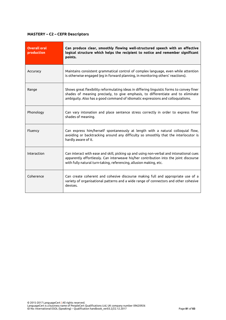## **MASTERY – C2 – CEFR Descriptors**

| <b>Overall oral</b><br>production | Can produce clear, smoothly flowing well-structured speech with an effective<br>logical structure which helps the recipient to notice and remember significant<br>points.                                                                                        |
|-----------------------------------|------------------------------------------------------------------------------------------------------------------------------------------------------------------------------------------------------------------------------------------------------------------|
| Accuracy                          | Maintains consistent grammatical control of complex language, even while attention<br>is otherwise engaged (eg in forward planning, in monitoring others' reactions).                                                                                            |
| Range                             | Shows great flexibility reformulating ideas in differing linguistic forms to convey finer<br>shades of meaning precisely, to give emphasis, to differentiate and to eliminate<br>ambiguity. Also has a good command of idiomatic expressions and colloquialisms. |
| Phonology                         | Can vary intonation and place sentence stress correctly in order to express finer<br>shades of meaning.                                                                                                                                                          |
| Fluency                           | Can express him/herself spontaneously at length with a natural colloquial flow,<br>avoiding or backtracking around any difficulty so smoothly that the interlocutor is<br>hardly aware of it.                                                                    |
| Interaction                       | Can interact with ease and skill, picking up and using non-verbal and intonational cues<br>apparently effortlessly. Can interweave his/her contribution into the joint discourse<br>with fully natural turn-taking, referencing, allusion making, etc.           |
| Coherence                         | Can create coherent and cohesive discourse making full and appropriate use of a<br>variety of organisational patterns and a wide range of connectors and other cohesive<br>devices.                                                                              |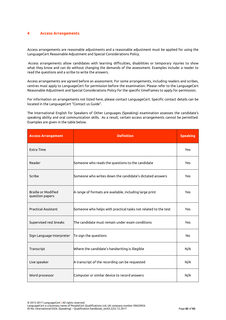#### **4 Access Arrangements**

Access arrangements are reasonable adjustments and a reasonable adjustment must be applied for using the LanguageCert Reasonable Adjustment and Special Considerations Policy.

Access arrangements allow candidates with learning difficulties, disabilities or temporary injuries to show what they know and can do without changing the demands of the assessment. Examples include: a reader to read the questions and a scribe to write the answers.

Access arrangements are agreed before an assessment. For some arrangements, including readers and scribes, centres must apply to LanguageCert for permission before the examination. Please refer to the LanguageCert Reasonable Adjustment and Special Considerations Policy for the specific timeframes to apply for permission.

For information on arrangements not listed here, please contact LanguageCert. Specific contact details can be located in the LanguageCert "Contact us Guide".

The International English for Speakers of Other Languages (Speaking) examination assesses the candidate's speaking ability and oral communication skills. As a result, certain access arrangements cannot be permitted. Examples are given in the table below.

| <b>Access Arrangement</b>                     | <b>Definition</b>                                              | <b>Speaking</b> |
|-----------------------------------------------|----------------------------------------------------------------|-----------------|
| Extra Time                                    |                                                                | Yes             |
| Reader                                        | Someone who reads the questions to the candidate               | <b>Yes</b>      |
| Scribe                                        | Someone who writes down the candidate's dictated answers       | Yes             |
| <b>Braille or Modified</b><br>question papers | A range of formats are available, including large print        | Yes             |
| <b>Practical Assistant</b>                    | Someone who helps with practical tasks not related to the test | Yes             |
| Supervised rest breaks                        | The candidate must remain under exam conditions                | Yes             |
| Sign Language Interpreter                     | To sign the questions                                          | No              |
| Transcript                                    | Where the candidate's handwriting is illegible                 | N/A             |
| Live speaker                                  | A transcript of the recording can be requested                 | N/A             |
| Word processor                                | Computer or similar device to record answers                   | N/A             |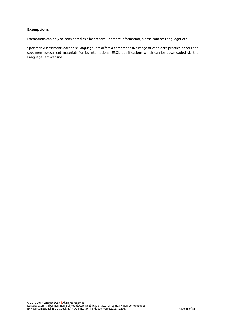# **Exemptions**

Exemptions can only be considered as a last resort. For more information, please contact LanguageCert.

Specimen Assessment Materials: LanguageCert offers a comprehensive range of candidate practice papers and specimen assessment materials for its International ESOL qualifications which can be downloaded via the LanguageCert website.